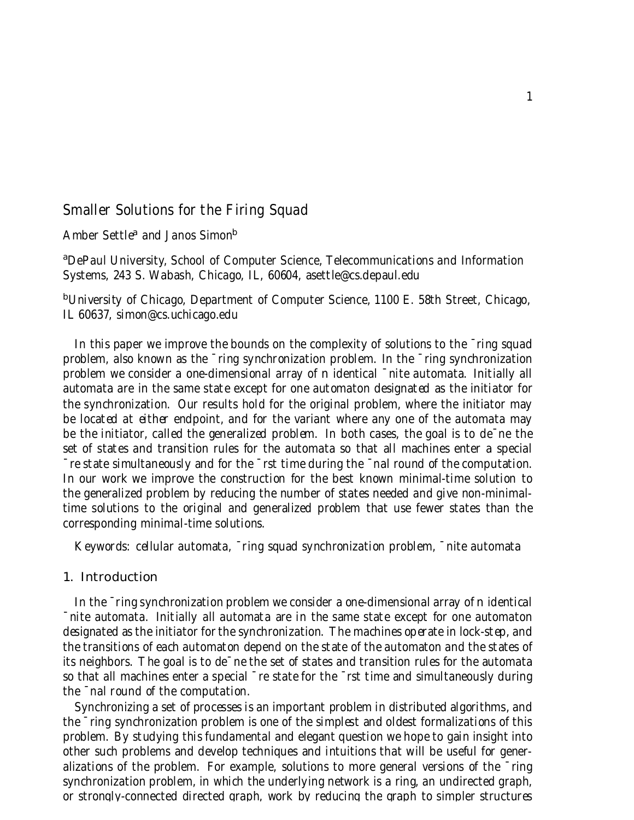# Smaller Solutions for the Firing Squad

Amber Settle<sup>a</sup> and Janos Simon<sup>b</sup>

<sup>a</sup>DePaul University, School of Computer Science, Telecommunications and Information Systems, 243 S. Wabash, Chicago, IL, 60604, asettle@cs.depaul.edu

<sup>b</sup>University of Chicago, Department of Computer Science, 1100 E. 58th Street, Chicago, IL 60637, simon@cs.uchicago.edu

In this paper we improve the bounds on the complexity of solutions to the  $\overline{\phantom{a}}$  ring squad problem, also known as the ¯ring synchronization problem. In the ¯ring synchronization problem we consider a one-dimensional array of n identical ¯nite automata. Initially all automata are in the same state except for one automaton designated as the initiator for the synchronization. Our results hold for the original problem, where the initiator may be located at either endpoint, and for the variant where any one of the automata may be the initiator, called the generalized problem. In both cases, the goal is to de¯ne the set of states and transition rules for the automata so that all machines enter a special ¯re state simultaneously and for the ¯rst time during the ¯nal round of the computation. In our work we improve the construction for the best known minimal-time solution to the generalized problem by reducing the number of states needed and give non-minimaltime solutions to the original and generalized problem that use fewer states than the corresponding minimal-time solutions.

Keywords: cellular automata, ¯ring squad synchronization problem, ¯nite automata

## 1. Introduction

In the ¯ring synchronization problem we consider a one-dimensional array of n identical ¯nite automata. Initially all automata are in the same state except for one automaton designated as the initiator for the synchronization. The machines operate in lock-step, and the transitions of each automaton depend on the state of the automaton and the states of its neighbors. The goal is to de¯ne the set of states and transition rules for the automata so that all machines enter a special ¯re state for the ¯rst time and simultaneously during the ¯nal round of the computation.

Synchronizing a set of processes is an important problem in distributed algorithms, and the ¯ring synchronization problem is one of the simplest and oldest formalizations of this problem. By studying this fundamental and elegant question we hope to gain insight into other such problems and develop techniques and intuitions that will be useful for generalizations of the problem. For example, solutions to more general versions of the ¯ring synchronization problem, in which the underlying network is a ring, an undirected graph, or strongly-connected directed graph, work by reducing the graph to simpler structures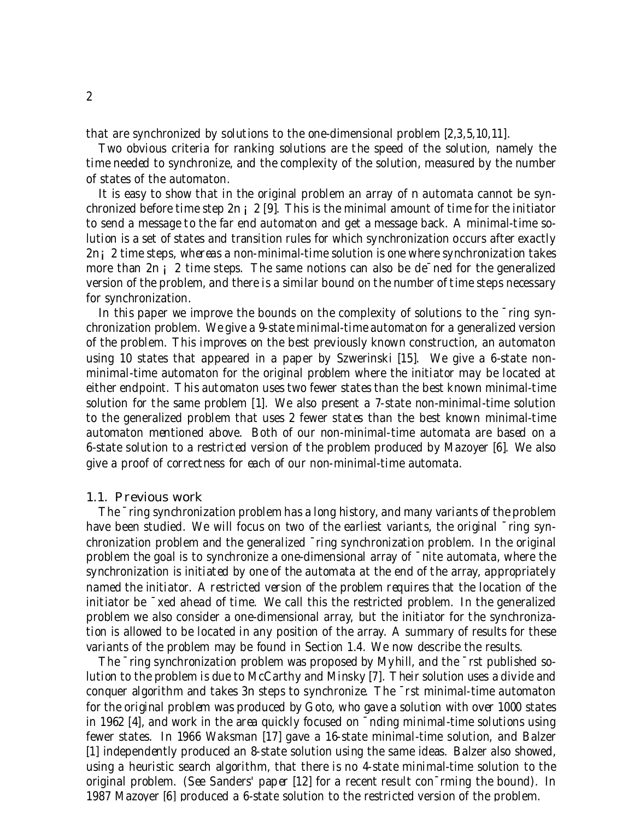that are synchronized by solutions to the one-dimensional problem [2,3,5,10,11].

Two obvious criteria for ranking solutions are the speed of the solution, namely the time needed to synchronize, and the complexity of the solution, measured by the number of states of the automaton.

It is easy to show that in the original problem an array of n automata cannot be synchronized before time step 2n  $\vert$  2 [9]. This is the minimal amount of time for the initiator to send a message to the far end automaton and get a message back. A minimal-time solution is a set of states and transition rules for which synchronization occurs after exactly 2n¡2 time steps, whereas a non-minimal-time solution is one where synchronization takes more than  $2n_i$  ? time steps. The same notions can also be de<sup>-</sup>ned for the generalized version of the problem, and there is a similar bound on the number of time steps necessary for synchronization.

In this paper we improve the bounds on the complexity of solutions to the  $\overline{\ }$ ring synchronization problem. We give a 9-state minimal-time automaton for a generalized version of the problem. This improves on the best previously known construction, an automaton using 10 states that appeared in a paper by Szwerinski [15]. We give a 6-state nonminimal-time automaton for the original problem where the initiator may be located at either endpoint. This automaton uses two fewer states than the best known minimal-time solution for the same problem [1]. We also present a 7-state non-minimal-time solution to the generalized problem that uses 2 fewer states than the best known minimal-time automaton mentioned above. Both of our non-minimal-time automata are based on a 6-state solution to a restricted version of the problem produced by Mazoyer [6]. We also give a proof of correctness for each of our non-minimal-time automata.

## 1.1. Previous work

The ¯ring synchronization problem has a long history, and many variants of the problem have been studied. We will focus on two of the earliest variants, the original  $\bar{\ }$ ring synchronization problem and the generalized ¯ring synchronization problem. In the original problem the goal is to synchronize a one-dimensional array of ¯nite automata, where the synchronization is initiated by one of the automata at the end of the array, appropriately named the initiator. A restricted version of the problem requires that the location of the initiator be ¯xed ahead of time. We call this the restricted problem. In the generalized problem we also consider a one-dimensional array, but the initiator for the synchronization is allowed to be located in any position of the array. A summary of results for these variants of the problem may be found in Section 1.4. We now describe the results.

The ¯ring synchronization problem was proposed by Myhill, and the ¯rst published solution to the problem is due to McCarthy and Minsky [7]. Their solution uses a divide and conquer algorithm and takes 3n steps to synchronize. The ¯rst minimal-time automaton for the original problem was produced by Goto, who gave a solution with over 1000 states in 1962 [4], and work in the area quickly focused on ¯nding minimal-time solutions using fewer states. In 1966 Waksman [17] gave a 16-state minimal-time solution, and Balzer [1] independently produced an 8-state solution using the same ideas. Balzer also showed, using a heuristic search algorithm, that there is no 4-state minimal-time solution to the original problem. (See Sanders' paper [12] for a recent result con¯rming the bound). In 1987 Mazoyer [6] produced a 6-state solution to the restricted version of the problem.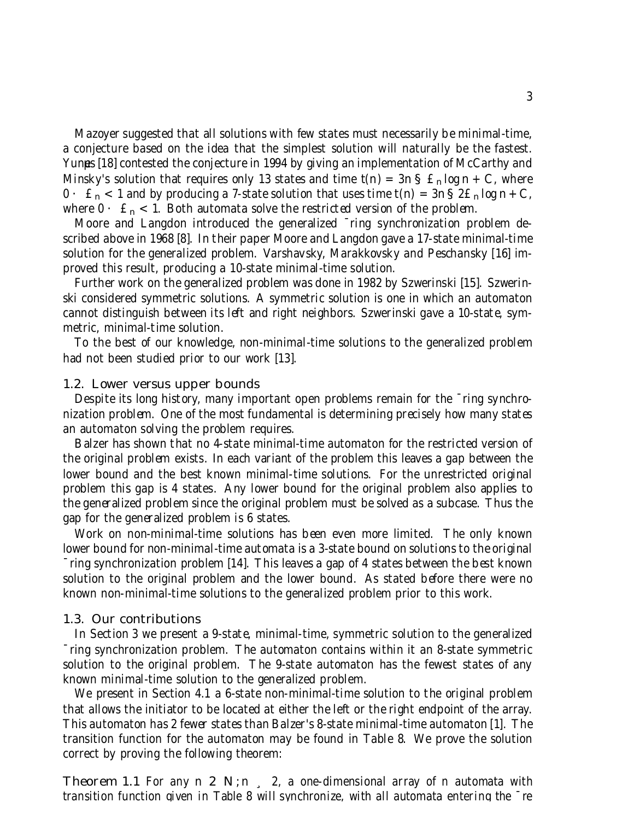Mazoyer suggested that all solutions with few states must necessarily be minimal-time, a conjecture based on the idea that the simplest solution will naturally be the fastest. Yunes [18] contested the conjecture in 1994 by giving an implementation of McCarthy and Minsky's solution that requires only 13 states and time  $t(n) = 3n S \hat{S}$   $\hat{S}$   $\hat{S}$   $\hat{S}$   $\hat{S}$   $\hat{S}$   $\hat{S}$   $\hat{S}$   $\hat{S}$   $\hat{S}$   $\hat{S}$   $\hat{S}$   $\hat{S}$   $\hat{S}$   $\hat{S}$   $\hat{S}$   $\hat{S}$   $\hat{S}$   $\hat{S}$   $\hat{S$  $0 \cdot \mathcal{E}_n < 1$  and by producing a 7-state solution that uses time  $t(n) = 3n \cdot \mathcal{E}_n \cdot \log n + C$ , where  $0 \cdot \hat{\mathbf{r}}_n < 1$ . Both automata solve the restricted version of the problem.

Moore and Langdon introduced the generalized ¯ring synchronization problem described above in 1968 [8]. In their paper Moore and Langdon gave a 17-state minimal-time solution for the generalized problem. Varshavsky, Marakkovsky and Peschansky [16] improved this result, producing a 10-state minimal-time solution.

Further work on the generalized problem was done in 1982 by Szwerinski [15]. Szwerinski considered symmetric solutions. A symmetric solution is one in which an automaton cannot distinguish between its left and right neighbors. Szwerinski gave a 10-state, symmetric, minimal-time solution.

To the best of our knowledge, non-minimal-time solutions to the generalized problem had not been studied prior to our work [13].

#### 1.2. Lower versus upper bounds

Despite its long history, many important open problems remain for the ¯ring synchronization problem. One of the most fundamental is determining precisely how many states an automaton solving the problem requires.

Balzer has shown that no 4-state minimal-time automaton for the restricted version of the original problem exists. In each variant of the problem this leaves a gap between the lower bound and the best known minimal-time solutions. For the unrestricted original problem this gap is 4 states. Any lower bound for the original problem also applies to the generalized problem since the original problem must be solved as a subcase. Thus the gap for the generalized problem is 6 states.

Work on non-minimal-time solutions has been even more limited. The only known lower bound for non-minimal-time automata is a 3-state bound on solutions to the original

¯ring synchronization problem [14]. This leaves a gap of 4 states between the best known solution to the original problem and the lower bound. As stated before there were no known non-minimal-time solutions to the generalized problem prior to this work.

#### 1.3. Our contributions

In Section 3 we present a 9-state, minimal-time, symmetric solution to the generalized ¯ring synchronization problem. The automaton contains within it an 8-state symmetric solution to the original problem. The 9-state automaton has the fewest states of any known minimal-time solution to the generalized problem.

We present in Section 4.1 a 6-state non-minimal-time solution to the original problem that allows the initiator to be located at either the left or the right endpoint of the array. This automaton has 2 fewer states than Balzer's 8-state minimal-time automaton [1]. The transition function for the automaton may be found in Table 8. We prove the solution correct by proving the following theorem:

**Theorem 1.1** For any n 2 N;n, 2, a one-dimensional array of n automata with transition function given in Table 8 will synchronize, with all automata entering the ¯re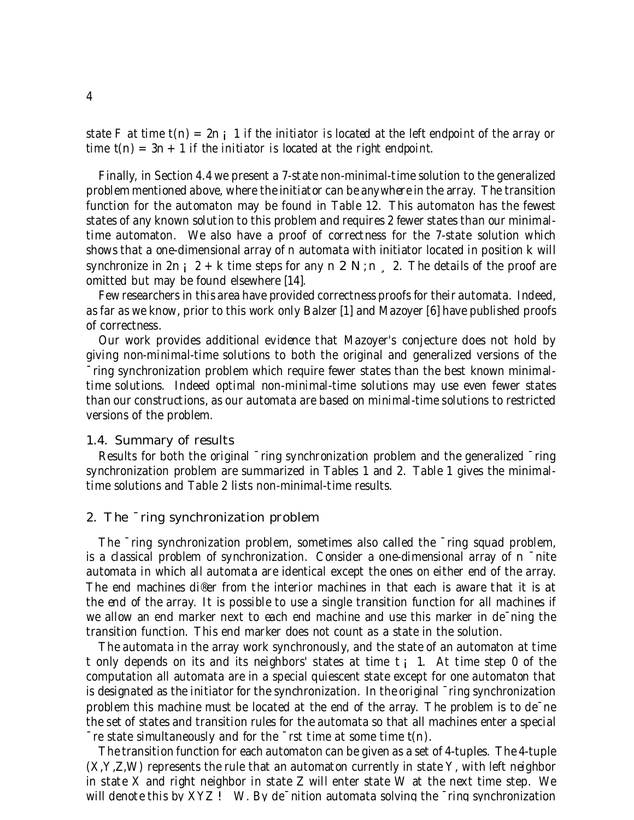state F at time  $t(n) = 2n$ ; 1 if the initiator is located at the left endpoint of the array or time  $t(n) = 3n + 1$  if the initiator is located at the right endpoint.

Finally, in Section 4.4 we present a 7-state non-minimal-time solution to the generalized problem mentioned above, where the initiator can be anywhere in the array. The transition function for the automaton may be found in Table 12. This automaton has the fewest states of any known solution to this problem and requires 2 fewer states than our minimaltime automaton. We also have a proof of correctness for the 7-state solution which shows that a one-dimensional array of n automata with initiator located in position k will synchronize in  $2n_i$   $i = 2 + k$  time steps for any n  $i = 2 \text{ N}; n \in \mathbb{Z}$ . The details of the proof are omitted but may be found elsewhere [14].

Few researchers in this area have provided correctness proofs for their automata. Indeed, as far as we know, prior to this work only Balzer [1] and Mazoyer [6] have published proofs of correctness.

Our work provides additional evidence that Mazoyer's conjecture does not hold by giving non-minimal-time solutions to both the original and generalized versions of the ¯ring synchronization problem which require fewer states than the best known minimaltime solutions. Indeed optimal non-minimal-time solutions may use even fewer states than our constructions, as our automata are based on minimal-time solutions to restricted versions of the problem.

#### 1.4. Summary of results

Results for both the original  $\overline{\ }$ ring synchronization problem and the generalized  $\overline{\ }$ ring synchronization problem are summarized in Tables 1 and 2. Table 1 gives the minimaltime solutions and Table 2 lists non-minimal-time results.

#### 2. The ¯ring synchronization problem

The ¯ring synchronization problem, sometimes also called the ¯ring squad problem, is a classical problem of synchronization. Consider a one-dimensional array of n ¯nite automata in which all automata are identical except the ones on either end of the array. The end machines di®er from the interior machines in that each is aware that it is at the end of the array. It is possible to use a single transition function for all machines if we allow an end marker next to each end machine and use this marker in de $\overline{\ }$ ning the transition function. This end marker does not count as a state in the solution.

The automata in the array work synchronously, and the state of an automaton at time t only depends on its and its neighbors' states at time  $t_i$  1. At time step 0 of the computation all automata are in a special quiescent state except for one automaton that is designated as the initiator for the synchronization. In the original ¯ring synchronization problem this machine must be located at the end of the array. The problem is to de¯ne the set of states and transition rules for the automata so that all machines enter a special  $\bar{z}$  re state simultaneously and for the  $\bar{z}$  rst time at some time t(n).

The transition function for each automaton can be given as a set of 4-tuples. The 4-tuple (X,Y,Z,W) represents the rule that an automaton currently in state Y, with left neighbor in state X and right neighbor in state Z will enter state W at the next time step. We will denote this by  $XYZ$ ! W. By de $\overline{\ }$ nition automata solving the  $\overline{\ }$ ring synchronization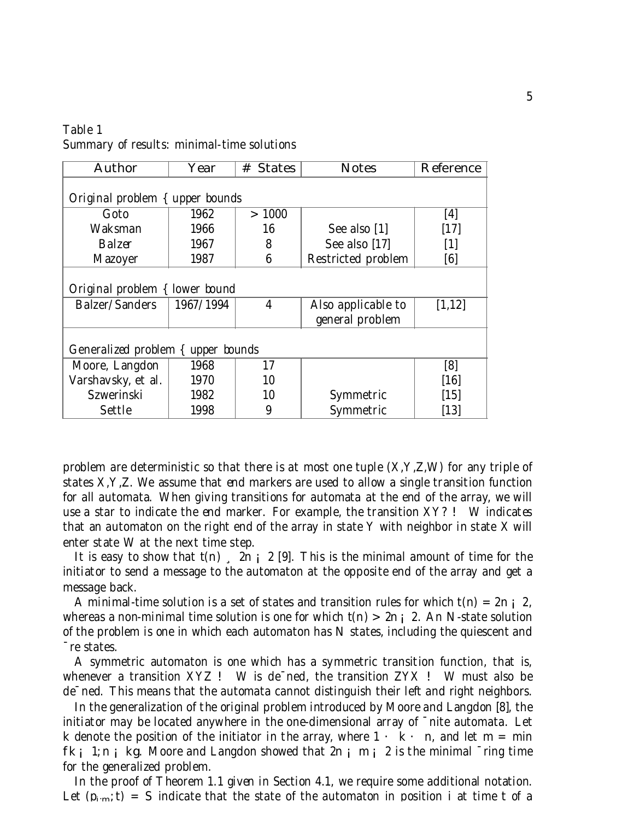| Table 1                                    |  |
|--------------------------------------------|--|
| Summary of results: minimal-time solutions |  |

| <b>Author</b>                      | Year      | # States | <b>Notes</b>                          | <b>Reference</b> |
|------------------------------------|-----------|----------|---------------------------------------|------------------|
| Original problem { upper bounds    |           |          |                                       |                  |
| Goto                               | 1962      | >1000    |                                       | [4]              |
| Waksman                            | 1966      | 16       | See also [1]                          | $[17]$           |
| <b>Balzer</b>                      | 1967      | 8        | See also [17]                         |                  |
| Mazoyer                            | 1987      | 6        | Restricted problem                    | [6]              |
| Original problem { lower bound     |           |          |                                       |                  |
| <b>Balzer/Sanders</b>              | 1967/1994 | 4        | Also applicable to<br>general problem | [1,12]           |
| Generalized problem { upper bounds |           |          |                                       |                  |
| Moore, Langdon                     | 1968      | 17       |                                       | [8]              |
| Varshavsky, et al.                 | 1970      | 10       |                                       | [16]             |
| Szwerinski                         | 1982      | 10       | Symmetric                             | [15]             |
| <b>Settle</b>                      | 1998      | 9        | Symmetric                             | [13]             |

problem are deterministic so that there is at most one tuple  $(X, Y, Z, W)$  for any triple of states X,Y,Z. We assume that end markers are used to allow a single transition function for all automata. When giving transitions for automata at the end of the array, we will use a star to indicate the end marker. For example, the transition XY? ! W indicates that an automaton on the right end of the array in state Y with neighbor in state X will enter state W at the next time step.

It is easy to show that  $t(n)$ ,  $2n \frac{1}{2}$  [9]. This is the minimal amount of time for the initiator to send a message to the automaton at the opposite end of the array and get a message back.

A minimal-time solution is a set of states and transition rules for which  $t(n) = 2n \frac{1}{2}$ , whereas a non-minimal time solution is one for which  $t(n) > 2n$  ; 2. An N-state solution of the problem is one in which each automaton has N states, including the quiescent and ¯re states.

A symmetric automaton is one which has a symmetric transition function, that is, whenever a transition  $XYZ$ ! W is de $T$ ned, the transition  $ZYX$ ! W must also be de¯ned. This means that the automata cannot distinguish their left and right neighbors.

In the generalization of the original problem introduced by Moore and Langdon [8], the initiator may be located anywhere in the one-dimensional array of ¯nite automata. Let k denote the position of the initiator in the array, where  $1 \cdot k \cdot n$ , and let m = min  $f_k$  ; 1; n ; kg. Moore and Langdon showed that  $2n$  ; m ; 2 is the minimal  $\overline{f}$  ring time for the generalized problem.

In the proof of Theorem 1.1 given in Section 4.1, we require some additional notation. Let  $(p_{i,m}:t) = S$  indicate that the state of the automaton in position i at time t of a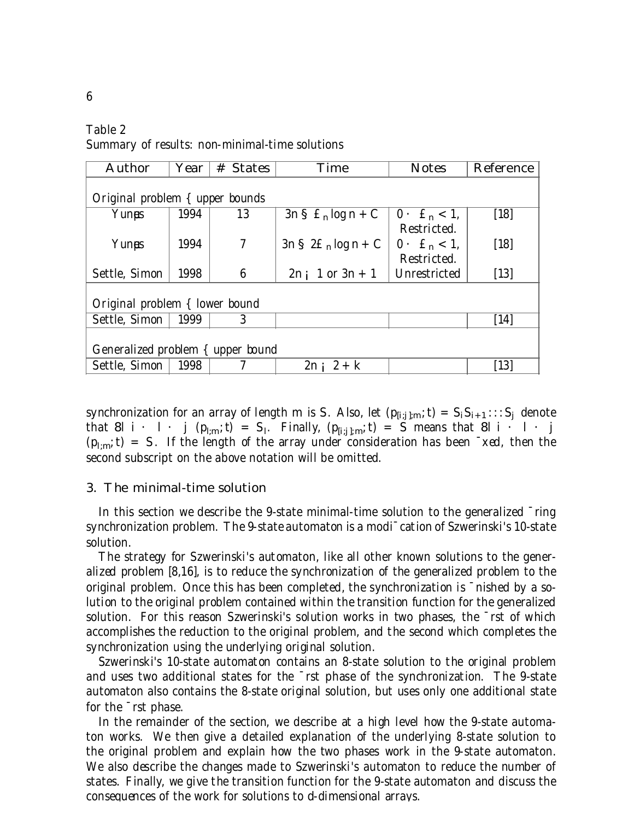Table 2 Summary of results: non-minimal-time solutions

| <b>Author</b>                     | Year | <b>States</b><br>$^{\#}$ | <b>Time</b>                      | <b>Notes</b>                      | <b>Reference</b> |  |  |
|-----------------------------------|------|--------------------------|----------------------------------|-----------------------------------|------------------|--|--|
|                                   |      |                          |                                  |                                   |                  |  |  |
| Original problem { upper bounds   |      |                          |                                  |                                   |                  |  |  |
| Yunas                             | 1994 | 13                       | $3nS$ £ <sub>n</sub> log n + C   | $0 \cdot \mathbf{E}_n < 1$ ,      | [18]             |  |  |
|                                   |      |                          |                                  | Restricted.                       |                  |  |  |
| Yunas                             | 1994 | $\tau$                   | $3nS$ 2£ <sub>n</sub> log n + C  | $0 \cdot \text{ } \pounds_n < 1,$ | [18]             |  |  |
|                                   |      |                          |                                  | Restricted.                       |                  |  |  |
| Settle, Simon                     | 1998 | 6                        | $1 \text{ or } 3n + 1$<br>$2n_i$ | Unrestricted                      | $[13]$           |  |  |
|                                   |      |                          |                                  |                                   |                  |  |  |
| Original problem { lower bound    |      |                          |                                  |                                   |                  |  |  |
| Settle, Simon                     | 1999 | 3                        |                                  |                                   | [14]             |  |  |
|                                   |      |                          |                                  |                                   |                  |  |  |
| Generalized problem { upper bound |      |                          |                                  |                                   |                  |  |  |
| Settle, Simon                     | 1998 |                          | $2 + k$<br>2n:                   |                                   | $[13]$           |  |  |

synchronization for an array of length m is S. Also, let  $(p_{[i;j];m};t) = S_i S_{i+1}$ ::: $S_j$  denote that 8l i  $\cdot$  1  $\cdot$  j ( $p_{l,m}$ ; t) = S<sub>1</sub>. Finally, ( $p_{[i;j],m}$ ; t) = S means that 8l i  $\cdot$  1  $\cdot$  j  $(p_{1:m};t) = S$ . If the length of the array under consideration has been  $\bar{\ }$  xed, then the second subscript on the above notation will be omitted.

#### 3. The minimal-time solution

In this section we describe the 9-state minimal-time solution to the generalized  $\overline{\ }$ ring synchronization problem. The 9-state automaton is a modi¯cation of Szwerinski's 10-state solution.

The strategy for Szwerinski's automaton, like all other known solutions to the generalized problem [8,16], is to reduce the synchronization of the generalized problem to the original problem. Once this has been completed, the synchronization is ¯nished by a solution to the original problem contained within the transition function for the generalized solution. For this reason Szwerinski's solution works in two phases, the ¯rst of which accomplishes the reduction to the original problem, and the second which completes the synchronization using the underlying original solution.

Szwerinski's 10-state automaton contains an 8-state solution to the original problem and uses two additional states for the ¯rst phase of the synchronization. The 9-state automaton also contains the 8-state original solution, but uses only one additional state for the ¯rst phase.

In the remainder of the section, we describe at a high level how the 9-state automaton works. We then give a detailed explanation of the underlying 8-state solution to the original problem and explain how the two phases work in the 9-state automaton. We also describe the changes made to Szwerinski's automaton to reduce the number of states. Finally, we give the transition function for the 9-state automaton and discuss the consequences of the work for solutions to d-dimensional arrays.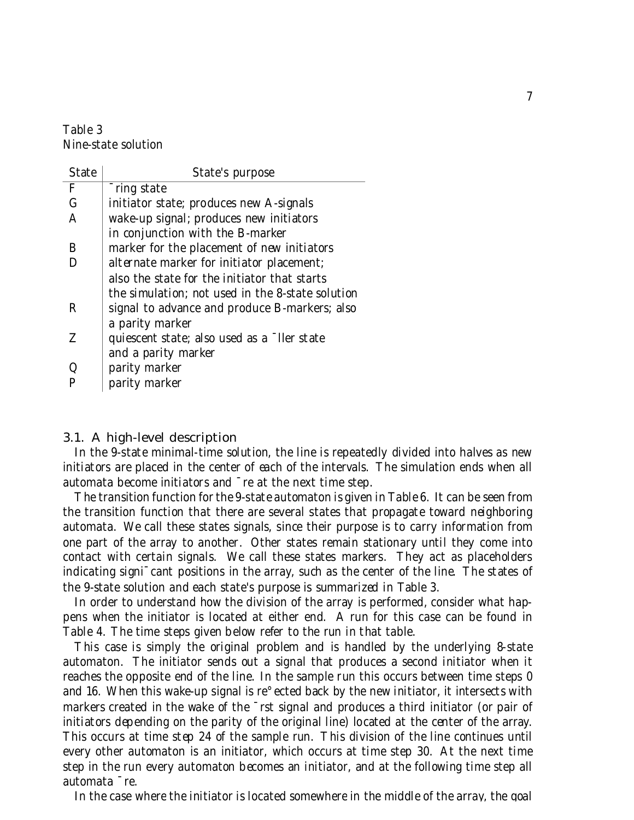# Table 3 Nine-state solution

| <b>State</b> | State's purpose                                  |
|--------------|--------------------------------------------------|
| F            | Tring state                                      |
| $\mathbf G$  | initiator state; produces new A-signals          |
| A            | wake-up signal; produces new initiators          |
|              | in conjunction with the B-marker                 |
| B            | marker for the placement of new initiators       |
|              | alternate marker for initiator placement;        |
|              | also the state for the initiator that starts     |
|              | the simulation; not used in the 8-state solution |
| R            | signal to advance and produce B-markers; also    |
|              | a parity marker                                  |
| Z            | quiescent state; also used as a ller state       |
|              | and a parity marker                              |
| Q            | parity marker                                    |
|              | parity marker                                    |

## 3.1. A high-level description

In the 9-state minimal-time solution, the line is repeatedly divided into halves as new initiators are placed in the center of each of the intervals. The simulation ends when all automata become initiators and ¯re at the next time step.

The transition function for the 9-state automaton is given in Table 6. It can be seen from the transition function that there are several states that propagate toward neighboring automata. We call these states signals, since their purpose is to carry information from one part of the array to another. Other states remain stationary until they come into contact with certain signals. We call these states markers. They act as placeholders indicating signi¯cant positions in the array, such as the center of the line. The states of the 9-state solution and each state's purpose is summarized in Table 3.

In order to understand how the division of the array is performed, consider what happens when the initiator is located at either end. A run for this case can be found in Table 4. The time steps given below refer to the run in that table.

This case is simply the original problem and is handled by the underlying 8-state automaton. The initiator sends out a signal that produces a second initiator when it reaches the opposite end of the line. In the sample run this occurs between time steps 0 and 16. When this wake-up signal is re°ected back by the new initiator, it intersects with markers created in the wake of the <sup>-</sup>rst signal and produces a third initiator (or pair of initiators depending on the parity of the original line) located at the center of the array. This occurs at time step 24 of the sample run. This division of the line continues until every other automaton is an initiator, which occurs at time step 30. At the next time step in the run every automaton becomes an initiator, and at the following time step all automata ¯re.

In the case where the initiator is located somewhere in the middle of the array, the goal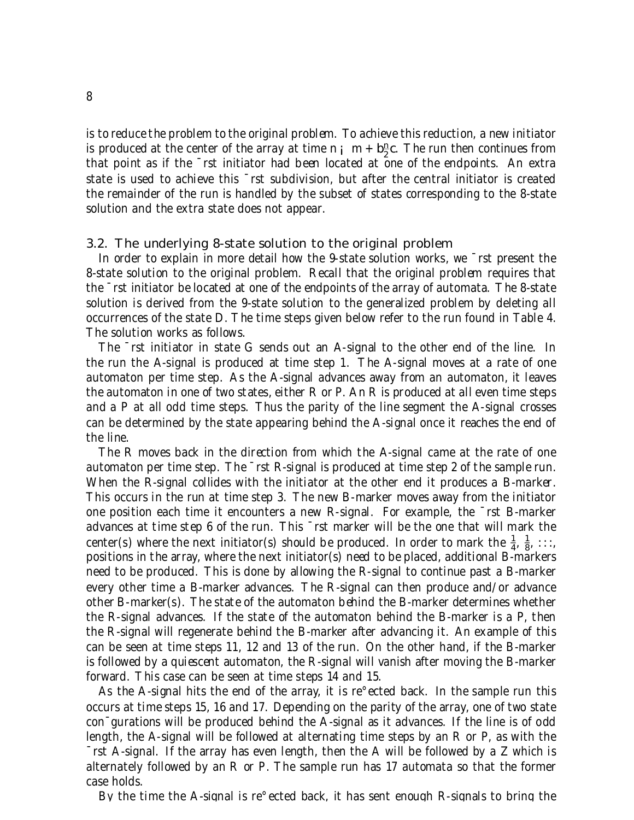is to reduce the problem to the original problem. To achieve this reduction, a new initiator is produced at the center of the array at time n  $\mathbf{i} \cdot \mathbf{m} + \mathbf{b} \frac{\mathbf{n}}{2}$  $\frac{n}{2}$ c. The run then continues from that point as if the ¯rst initiator had been located at one of the endpoints. An extra state is used to achieve this ¯rst subdivision, but after the central initiator is created the remainder of the run is handled by the subset of states corresponding to the 8-state solution and the extra state does not appear.

#### 3.2. The underlying 8-state solution to the original problem

In order to explain in more detail how the 9-state solution works, we ¯rst present the 8-state solution to the original problem. Recall that the original problem requires that the ¯rst initiator be located at one of the endpoints of the array of automata. The 8-state solution is derived from the 9-state solution to the generalized problem by deleting all occurrences of the state D. The time steps given below refer to the run found in Table 4. The solution works as follows.

The ¯rst initiator in state G sends out an A-signal to the other end of the line. In the run the A-signal is produced at time step 1. The A-signal moves at a rate of one automaton per time step. As the A-signal advances away from an automaton, it leaves the automaton in one of two states, either R or P. An R is produced at all even time steps and a P at all odd time steps. Thus the parity of the line segment the A-signal crosses can be determined by the state appearing behind the A-signal once it reaches the end of the line.

The R moves back in the direction from which the A-signal came at the rate of one automaton per time step. The ¯rst R-signal is produced at time step 2 of the sample run. When the R-signal collides with the initiator at the other end it produces a B-marker. This occurs in the run at time step 3. The new B-marker moves away from the initiator one position each time it encounters a new R-signal. For example, the ¯rst B-marker advances at time step 6 of the run. This ¯rst marker will be the one that will mark the center(s) where the next initiator(s) should be produced. In order to mark the  $\frac{1}{4}$  $\frac{1}{4}$ ,  $\frac{1}{8}$  $\frac{1}{8}$ , :::, positions in the array, where the next initiator(s) need to be placed, additional B-markers need to be produced. This is done by allowing the R-signal to continue past a B-marker every other time a B-marker advances. The R-signal can then produce and/or advance other B-marker(s). The state of the automaton behind the B-marker determines whether the R-signal advances. If the state of the automaton behind the B-marker is a P, then the R-signal will regenerate behind the B-marker after advancing it. An example of this can be seen at time steps 11, 12 and 13 of the run. On the other hand, if the B-marker is followed by a quiescent automaton, the R-signal will vanish after moving the B-marker forward. This case can be seen at time steps 14 and 15.

As the A-signal hits the end of the array, it is re°ected back. In the sample run this occurs at time steps 15, 16 and 17. Depending on the parity of the array, one of two state con¯gurations will be produced behind the A-signal as it advances. If the line is of odd length, the A-signal will be followed at alternating time steps by an R or P, as with the ¯rst A-signal. If the array has even length, then the A will be followed by a Z which is alternately followed by an R or P. The sample run has 17 automata so that the former case holds.

By the time the A-signal is re°ected back, it has sent enough R-signals to bring the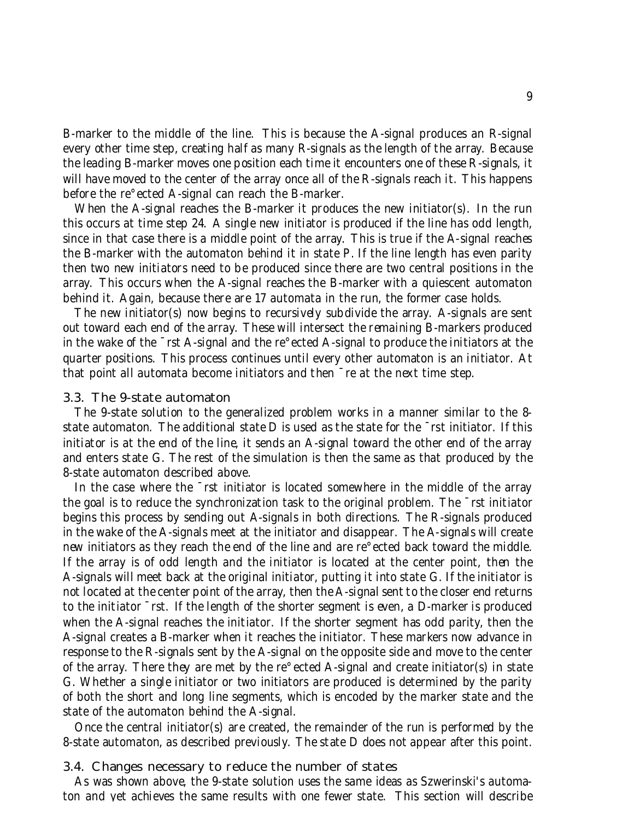B-marker to the middle of the line. This is because the A-signal produces an R-signal every other time step, creating half as many R-signals as the length of the array. Because the leading B-marker moves one position each time it encounters one of these R-signals, it will have moved to the center of the array once all of the R-signals reach it. This happens before the re°ected A-signal can reach the B-marker.

When the A-signal reaches the B-marker it produces the new initiator(s). In the run this occurs at time step 24. A single new initiator is produced if the line has odd length, since in that case there is a middle point of the array. This is true if the A-signal reaches the B-marker with the automaton behind it in state P. If the line length has even parity then two new initiators need to be produced since there are two central positions in the array. This occurs when the A-signal reaches the B-marker with a quiescent automaton behind it. Again, because there are 17 automata in the run, the former case holds.

The new initiator(s) now begins to recursively subdivide the array. A-signals are sent out toward each end of the array. These will intersect the remaining B-markers produced in the wake of the ¯rst A-signal and the re°ected A-signal to produce the initiators at the quarter positions. This process continues until every other automaton is an initiator. At that point all automata become initiators and then ¯re at the next time step.

## 3.3. The 9-state automaton

The 9-state solution to the generalized problem works in a manner similar to the 8 state automaton. The additional state D is used as the state for the <sup>-</sup>rst initiator. If this initiator is at the end of the line, it sends an A-signal toward the other end of the array and enters state G. The rest of the simulation is then the same as that produced by the 8-state automaton described above.

In the case where the  $\overline{\phantom{a}}$  rst initiator is located somewhere in the middle of the array the goal is to reduce the synchronization task to the original problem. The ¯rst initiator begins this process by sending out A-signals in both directions. The R-signals produced in the wake of the A-signals meet at the initiator and disappear. The A-signals will create new initiators as they reach the end of the line and are re°ected back toward the middle. If the array is of odd length and the initiator is located at the center point, then the A-signals will meet back at the original initiator, putting it into state G. If the initiator is not located at the center point of the array, then the A-signal sent to the closer end returns to the initiator ¯rst. If the length of the shorter segment is even, a D-marker is produced when the A-signal reaches the initiator. If the shorter segment has odd parity, then the A-signal creates a B-marker when it reaches the initiator. These markers now advance in response to the R-signals sent by the A-signal on the opposite side and move to the center of the array. There they are met by the re°ected A-signal and create initiator(s) in state G. Whether a single initiator or two initiators are produced is determined by the parity of both the short and long line segments, which is encoded by the marker state and the state of the automaton behind the A-signal.

Once the central initiator(s) are created, the remainder of the run is performed by the 8-state automaton, as described previously. The state D does not appear after this point.

#### 3.4. Changes necessary to reduce the number of states

As was shown above, the 9-state solution uses the same ideas as Szwerinski's automaton and yet achieves the same results with one fewer state. This section will describe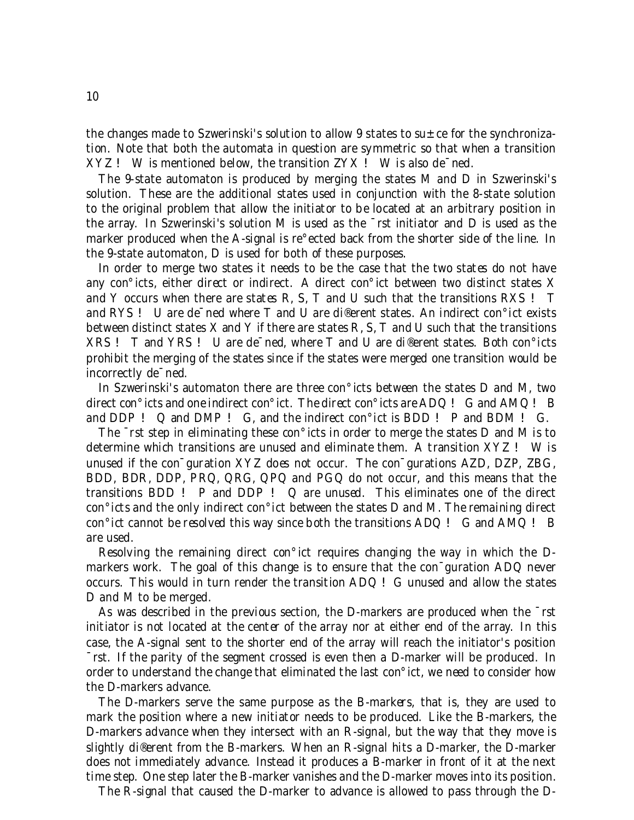the changes made to Szwerinski's solution to allow 9 states to  $su \pm ce$  for the synchronization. Note that both the automata in question are symmetric so that when a transition XYZ ! W is mentioned below, the transition ZYX ! W is also de¯ned.

The 9-state automaton is produced by merging the states M and D in Szwerinski's solution. These are the additional states used in conjunction with the 8-state solution to the original problem that allow the initiator to be located at an arbitrary position in the array. In Szwerinski's solution M is used as the ¯rst initiator and D is used as the marker produced when the A-signal is re°ected back from the shorter side of the line. In the 9-state automaton, D is used for both of these purposes.

In order to merge two states it needs to be the case that the two states do not have any con°icts, either direct or indirect. A direct con°ict between two distinct states X and Y occurs when there are states R, S, T and U such that the transitions RXS ! T and RYS ! U are de¯ned where T and U are di®erent states. An indirect con°ict exists between distinct states X and Y if there are states R, S, T and U such that the transitions XRS ! T and YRS ! U are de¯ned, where T and U are di®erent states. Both con°icts prohibit the merging of the states since if the states were merged one transition would be incorrectly de¯ned.

In Szwerinski's automaton there are three con°icts between the states D and M, two direct con°icts and one indirect con°ict. The direct con°icts are ADQ ! G and AMQ ! B and DDP ! Q and DMP ! G, and the indirect con°ict is BDD ! P and BDM ! G.

The ¯rst step in eliminating these con°icts in order to merge the states D and M is to determine which transitions are unused and eliminate them. A transition XYZ ! W is unused if the con¯guration XYZ does not occur. The con¯gurations AZD, DZP, ZBG, BDD, BDR, DDP, PRQ, QRG, QPQ and PGQ do not occur, and this means that the transitions BDD ! P and DDP ! Q are unused. This eliminates one of the direct con°icts and the only indirect con°ict between the states D and M. The remaining direct con°ict cannot be resolved this way since both the transitions ADQ ! G and AMQ ! B are used.

Resolving the remaining direct con°ict requires changing the way in which the Dmarkers work. The goal of this change is to ensure that the con<sup>-</sup>guration ADQ never occurs. This would in turn render the transition ADQ ! G unused and allow the states D and M to be merged.

As was described in the previous section, the D-markers are produced when the ¯rst initiator is not located at the center of the array nor at either end of the array. In this case, the A-signal sent to the shorter end of the array will reach the initiator's position ¯rst. If the parity of the segment crossed is even then a D-marker will be produced. In order to understand the change that eliminated the last con°ict, we need to consider how the D-markers advance.

The D-markers serve the same purpose as the B-markers, that is, they are used to mark the position where a new initiator needs to be produced. Like the B-markers, the D-markers advance when they intersect with an R-signal, but the way that they move is slightly di®erent from the B-markers. When an R-signal hits a D-marker, the D-marker does not immediately advance. Instead it produces a B-marker in front of it at the next time step. One step later the B-marker vanishes and the D-marker moves into its position.

The R-signal that caused the D-marker to advance is allowed to pass through the D-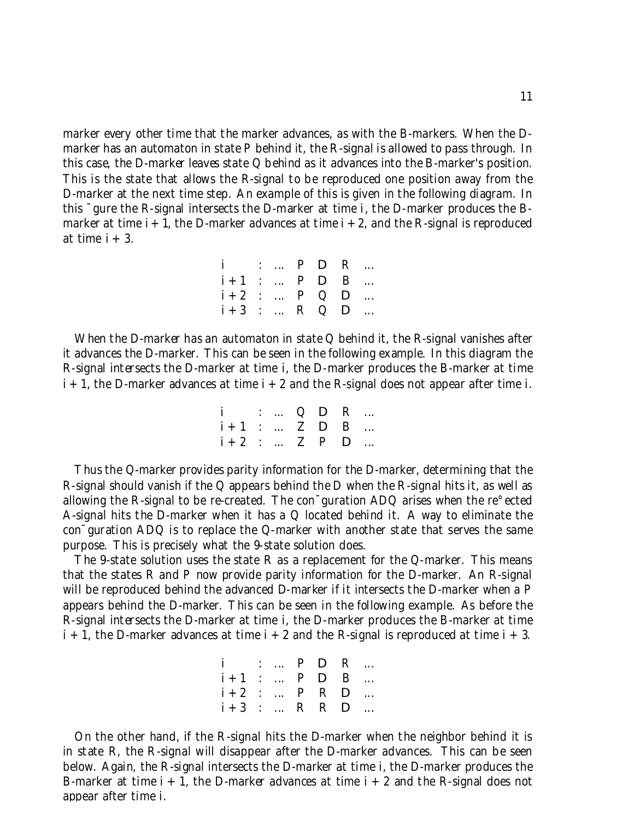marker every other time that the marker advances, as with the B-markers. When the Dmarker has an automaton in state P behind it, the R-signal is allowed to pass through. In this case, the D-marker leaves state Q behind as it advances into the B-marker's position. This is the state that allows the R-signal to be reproduced one position away from the D-marker at the next time step. An example of this is given in the following diagram. In this ¯gure the R-signal intersects the D-marker at time i, the D-marker produces the Bmarker at time  $i + 1$ , the D-marker advances at time  $i + 2$ , and the R-signal is reproduced at time  $i + 3$ .

| i :  P D R       |  |  |  |
|------------------|--|--|--|
| $i+1$ :  P D B   |  |  |  |
| $i + 2$ :  P Q D |  |  |  |
| $i + 3$ :  R Q D |  |  |  |

When the D-marker has an automaton in state Q behind it, the R-signal vanishes after it advances the D-marker. This can be seen in the following example. In this diagram the R-signal intersects the D-marker at time i, the D-marker produces the B-marker at time  $i + 1$ , the D-marker advances at time  $i + 2$  and the R-signal does not appear after time i.

| $i$ :  Q D R     |  |  |  |
|------------------|--|--|--|
| $i + 1$ :  Z D B |  |  |  |
| $i + 2$ :  Z P D |  |  |  |

Thus the Q-marker provides parity information for the D-marker, determining that the R-signal should vanish if the Q appears behind the D when the R-signal hits it, as well as allowing the R-signal to be re-created. The con¯guration ADQ arises when the re°ected A-signal hits the D-marker when it has a Q located behind it. A way to eliminate the con¯guration ADQ is to replace the Q-marker with another state that serves the same purpose. This is precisely what the 9-state solution does.

The 9-state solution uses the state R as a replacement for the Q-marker. This means that the states R and P now provide parity information for the D-marker. An R-signal will be reproduced behind the advanced D-marker if it intersects the D-marker when a P appears behind the D-marker. This can be seen in the following example. As before the R-signal intersects the D-marker at time i, the D-marker produces the B-marker at time  $i + 1$ , the D-marker advances at time  $i + 2$  and the R-signal is reproduced at time  $i + 3$ .

| i :  P <b>D</b> R |  |  |  |
|-------------------|--|--|--|
| $i+1$ :  P D B    |  |  |  |
| $i + 2$ :  P R D  |  |  |  |
| $i+3$ :  R R D    |  |  |  |

On the other hand, if the R-signal hits the D-marker when the neighbor behind it is in state R, the R-signal will disappear after the D-marker advances. This can be seen below. Again, the R-signal intersects the D-marker at time i, the D-marker produces the B-marker at time  $i + 1$ , the D-marker advances at time  $i + 2$  and the R-signal does not appear after time i.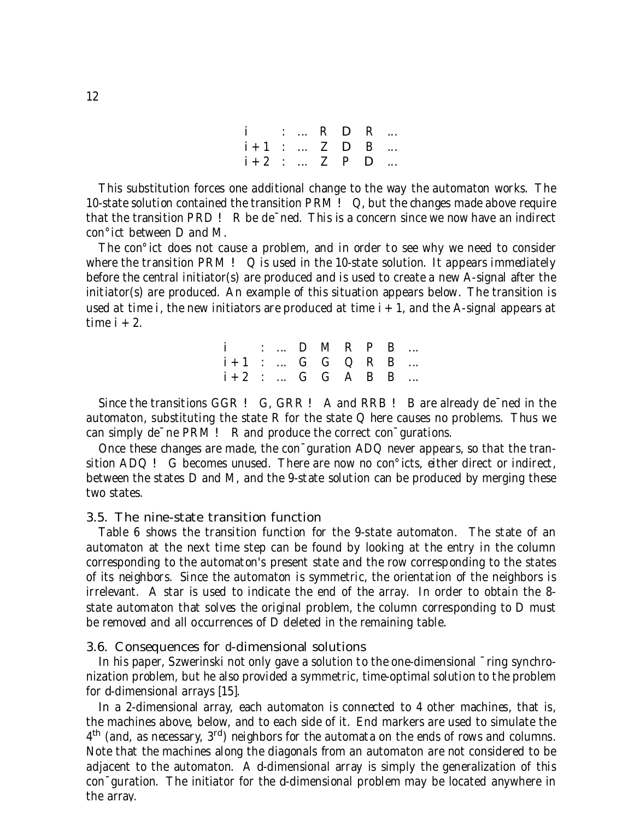| i :  R <b>D</b> R |  |  |  |
|-------------------|--|--|--|
| $i+1$ :  Z D B    |  |  |  |
| $i + 2$ :  Z P D  |  |  |  |

This substitution forces one additional change to the way the automaton works. The 10-state solution contained the transition PRM ! Q, but the changes made above require that the transition PRD ! R be de¯ned. This is a concern since we now have an indirect con°ict between D and M.

The con°ict does not cause a problem, and in order to see why we need to consider where the transition PRM  $! Q$  is used in the 10-state solution. It appears immediately before the central initiator(s) are produced and is used to create a new A-signal after the initiator(s) are produced. An example of this situation appears below. The transition is used at time i, the new initiators are produced at time  $i + 1$ , and the A-signal appears at time  $i + 2$ .

| i :  D M R P B              |  |  |  |  |
|-----------------------------|--|--|--|--|
| $i+1$ : $G$ $G$ $Q$ $R$ $B$ |  |  |  |  |
| $i + 2$ :  G G A B B        |  |  |  |  |

Since the transitions GGR ! G, GRR ! A and RRB ! B are already de ned in the automaton, substituting the state R for the state  $Q$  here causes no problems. Thus we can simply de<sup>-</sup>ne PRM ! R and produce the correct con<sup>-</sup>gurations.

Once these changes are made, the con¯guration ADQ never appears, so that the transition ADQ ! G becomes unused. There are now no con°icts, either direct or indirect, between the states D and M, and the 9-state solution can be produced by merging these two states.

## 3.5. The nine-state transition function

Table 6 shows the transition function for the 9-state automaton. The state of an automaton at the next time step can be found by looking at the entry in the column corresponding to the automaton's present state and the row corresponding to the states of its neighbors. Since the automaton is symmetric, the orientation of the neighbors is irrelevant. A star is used to indicate the end of the array. In order to obtain the 8 state automaton that solves the original problem, the column corresponding to D must be removed and all occurrences of D deleted in the remaining table.

#### 3.6. Consequences for d-dimensional solutions

In his paper, Szwerinski not only gave a solution to the one-dimensional  $\bar{\ }$ ring synchronization problem, but he also provided a symmetric, time-optimal solution to the problem for d-dimensional arrays [15].

In a 2-dimensional array, each automaton is connected to 4 other machines, that is, the machines above, below, and to each side of it. End markers are used to simulate the  $4^{\text{th}}$  (and, as necessary,  $3^{\text{rd}}$ ) neighbors for the automata on the ends of rows and columns. Note that the machines along the diagonals from an automaton are not considered to be adjacent to the automaton. A d-dimensional array is simply the generalization of this con¯guration. The initiator for the d-dimensional problem may be located anywhere in the array.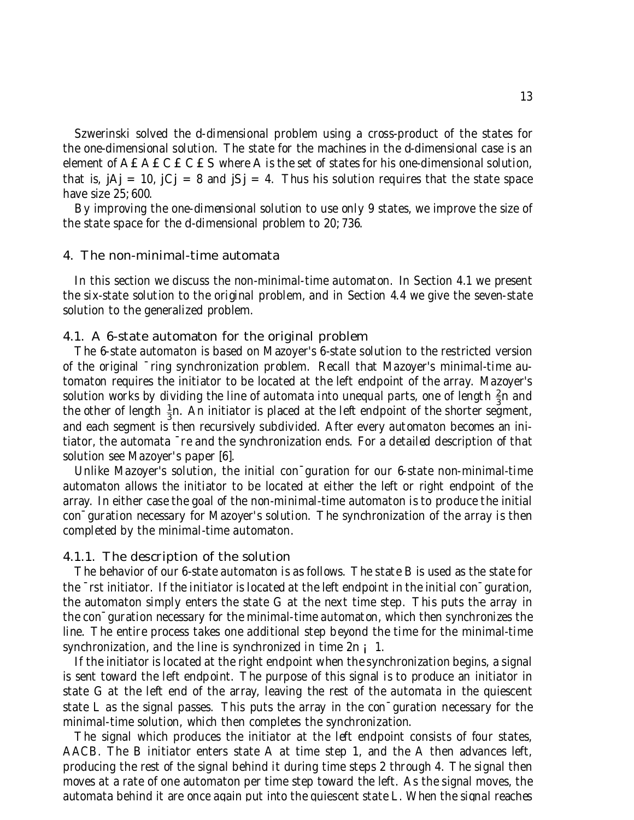Szwerinski solved the d-dimensional problem using a cross-product of the states for the one-dimensional solution. The state for the machines in the d-dimensional case is an element of  $A \, \mathcal{L} \, A \, \mathcal{L} \, C \, \mathcal{L} \, C \, \mathcal{L} \, S$  where A is the set of states for his one-dimensional solution, that is,  $i$ A $j$  = 10,  $i$ C $j$  = 8 and  $i$ S $j$  = 4. Thus his solution requires that the state space have size 25; 600.

By improving the one-dimensional solution to use only 9 states, we improve the size of the state space for the d-dimensional problem to 20; 736.

#### 4. The non-minimal-time automata

In this section we discuss the non-minimal-time automaton. In Section 4.1 we present the six-state solution to the original problem, and in Section 4.4 we give the seven-state solution to the generalized problem.

#### 4.1. A 6-state automaton for the original problem

The 6-state automaton is based on Mazoyer's 6-state solution to the restricted version of the original ¯ring synchronization problem. Recall that Mazoyer's minimal-time automaton requires the initiator to be located at the left endpoint of the array. Mazoyer's solution works by dividing the line of automata into unequal parts, one of length  $\frac{2}{3}$  $\frac{2}{3}$ n and the other of length  $\frac{1}{3}$  $\frac{1}{3}$ n. An initiator is placed at the left endpoint of the shorter segment, and each segment is then recursively subdivided. After every automaton becomes an initiator, the automata ¯re and the synchronization ends. For a detailed description of that solution see Mazoyer's paper [6].

Unlike Mazoyer's solution, the initial con¯guration for our 6-state non-minimal-time automaton allows the initiator to be located at either the left or right endpoint of the array. In either case the goal of the non-minimal-time automaton is to produce the initial con¯guration necessary for Mazoyer's solution. The synchronization of the array is then completed by the minimal-time automaton.

#### 4.1.1. The description of the solution

The behavior of our 6-state automaton is as follows. The state B is used as the state for the ¯rst initiator. If the initiator is located at the left endpoint in the initial con¯guration, the automaton simply enters the state G at the next time step. This puts the array in the con¯guration necessary for the minimal-time automaton, which then synchronizes the line. The entire process takes one additional step beyond the time for the minimal-time synchronization, and the line is synchronized in time  $2n_i$  1.

If the initiator is located at the right endpoint when the synchronization begins, a signal is sent toward the left endpoint. The purpose of this signal is to produce an initiator in state G at the left end of the array, leaving the rest of the automata in the quiescent state L as the signal passes. This puts the array in the con¯guration necessary for the minimal-time solution, which then completes the synchronization.

The signal which produces the initiator at the left endpoint consists of four states, AACB. The B initiator enters state A at time step 1, and the A then advances left, producing the rest of the signal behind it during time steps 2 through 4. The signal then moves at a rate of one automaton per time step toward the left. As the signal moves, the automata behind it are once again put into the quiescent state L. When the signal reaches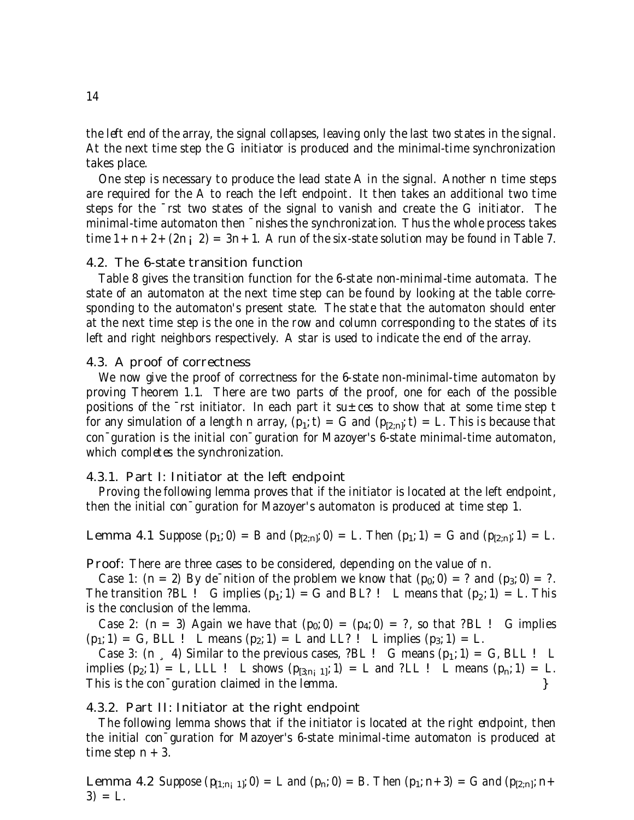the left end of the array, the signal collapses, leaving only the last two states in the signal. At the next time step the G initiator is produced and the minimal-time synchronization takes place.

One step is necessary to produce the lead state A in the signal. Another n time steps are required for the A to reach the left endpoint. It then takes an additional two time steps for the ¯rst two states of the signal to vanish and create the G initiator. The minimal-time automaton then ¯nishes the synchronization. Thus the whole process takes time  $1+n+2+(2n; 2) = 3n+1$ . A run of the six-state solution may be found in Table 7.

## 4.2. The 6-state transition function

Table 8 gives the transition function for the 6-state non-minimal-time automata. The state of an automaton at the next time step can be found by looking at the table corresponding to the automaton's present state. The state that the automaton should enter at the next time step is the one in the row and column corresponding to the states of its left and right neighbors respectively. A star is used to indicate the end of the array.

#### 4.3. A proof of correctness

We now give the proof of correctness for the 6-state non-minimal-time automaton by proving Theorem 1.1. There are two parts of the proof, one for each of the possible positions of the  $\overline{\phantom{a}}$  rst initiator. In each part it su $\pm$  ces to show that at some time step t for any simulation of a length n array,  $(p_1;t) = G$  and  $(p_{[2,n]};t) = L$ . This is because that con¯guration is the initial con¯guration for Mazoyer's 6-state minimal-time automaton, which completes the synchronization.

## 4.3.1. Part I: Initiator at the left endpoint

Proving the following lemma proves that if the initiator is located at the left endpoint, then the initial con¯guration for Mazoyer's automaton is produced at time step 1.

**Lemma 4.1** Suppose  $(p_1; 0) = B$  and  $(p_{[2:n]}; 0) = L$ . Then  $(p_1; 1) = G$  and  $(p_{[2:n]}; 1) = L$ .

Proof: There are three cases to be considered, depending on the value of n.

Case 1:  $(n = 2)$  By de<sup>-</sup>nition of the problem we know that  $(p_0; 0) = ?$  and  $(p_3; 0) = ?$ . The transition ?BL ! G implies  $(p_1; 1) = G$  and BL? ! L means that  $(p_2; 1) = L$ . This is the conclusion of the lemma.

Case 2:  $(n = 3)$  Again we have that  $(p_0; 0) = (p_4; 0) = ?$ , so that ?BL ! G implies  $(p_1; 1) = G$ , BLL ! L means  $(p_2; 1) = L$  and LL? ! L implies  $(p_3; 1) = L$ .

Case 3:  $(n, 4)$  Similar to the previous cases, ?BL ! G means  $(p_1; 1) = G$ , BLL ! L implies  $(p_2; 1) = L$ , LLL ! L shows  $(p_{[3,n_i 1]}; 1) = L$  and ?LL ! L means  $(p_n; 1) = L$ . This is the con<sup>-</sup>guration claimed in the lemma.  $\}$ 

## 4.3.2. Part II: Initiator at the right endpoint

The following lemma shows that if the initiator is located at the right endpoint, then the initial con¯guration for Mazoyer's 6-state minimal-time automaton is produced at time step  $n + 3$ .

**Lemma 4.2** Suppose  $(p_{[1;n-1]}; 0) = L$  and  $(p_n; 0) = B$ . Then  $(p_1; n+3) = G$  and  $(p_{[2:n]}; n+1)$  $3) = L.$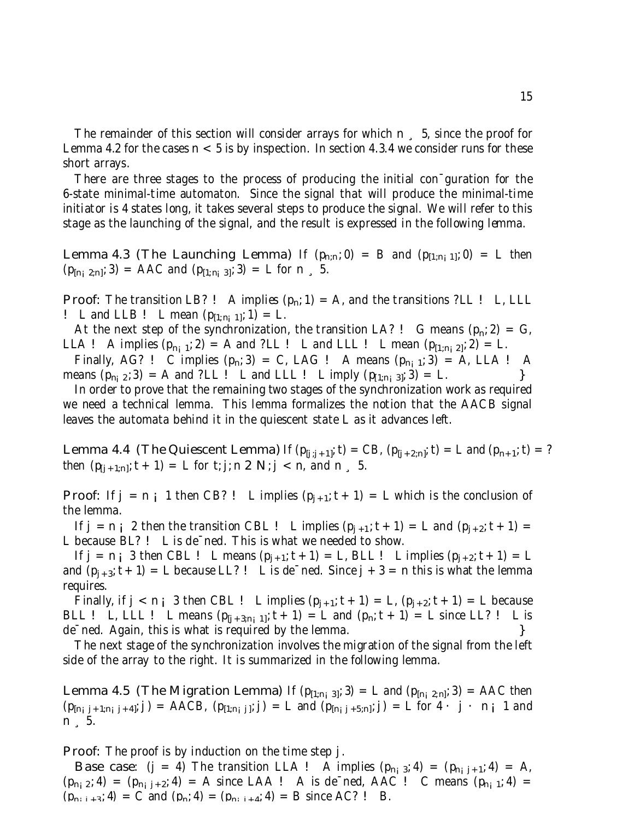The remainder of this section will consider arrays for which n  $\frac{1}{2}$ , 5, since the proof for Lemma 4.2 for the cases  $n < 5$  is by inspection. In section 4.3.4 we consider runs for these short arrays.

There are three stages to the process of producing the initial con¯guration for the 6-state minimal-time automaton. Since the signal that will produce the minimal-time initiator is 4 states long, it takes several steps to produce the signal. We will refer to this stage as the launching of the signal, and the result is expressed in the following lemma.

**Lemma 4.3 (The Launching Lemma)** If  $(p_{n;n}; 0) = B$  and  $(p_{[1;n]}; 0) = L$  then  $(p_{[n_i 2:n]}; 3) = \text{AAC} \text{ and } (p_{[1:n_i 3]}; 3) = \text{L} \text{ for } n \leq 5.$ 

**Proof:** The transition LB? ! A implies  $(p_n; 1) = A$ , and the transitions ?LL ! L, LLL ! L and LLB ! L mean  $(p_{[1;n]}; 1) = L$ .

At the next step of the synchronization, the transition LA? ! G means  $(p_n; 2) = G$ , LLA ! A implies  $(p_{n_1,1}; 2) = A$  and ?LL ! L and LLL ! L mean  $(p_{[1,n_1,2]}; 2) = L$ .

Finally, AG? ! C implies  $(p_n; 3) = C$ , LAG ! A means  $(p_{n_i 1}; 3) = A$ , LLA ! A eans  $(p_{n_i 2}; 3) = A$  and ?LL ! L and LLL ! L imply  $(p_{11:n_1 3l}; 3) = L$ . means  $(p_{n_1 2}; 3) = A$  and ?LL ! L and LLL ! L imply  $(p_{[1:n_1 3]}; 3) = L$ .

In order to prove that the remaining two stages of the synchronization work as required we need a technical lemma. This lemma formalizes the notion that the AACB signal leaves the automata behind it in the quiescent state L as it advances left.

**Lemma 4.4 (The Quiescent Lemma)** If  $(p_{[j]j+1]}; t) = CB$ ,  $(p_{[j+2;n]}; t) = L$  and  $(p_{n+1}; t) = ?$ then  $(p_{[j+1;n]}; t + 1) = L$  for t; j; n 2 N; j < n, and n  $\,$  5.

**Proof:** If  $j = n \, i$  1 then CB? ! L implies  $(p_{i+1}; t+1) = L$  which is the conclusion of the lemma.

If  $j = n_i$  2 then the transition CBL ! L implies  $(p_{j+1}; t + 1) = L$  and  $(p_{j+2}; t + 1) = L$ L because BL? ! L is de¯ned. This is what we needed to show.

If  $j = n_i$  3 then CBL ! L means  $(p_{j+1}; t + 1) = L$ , BLL ! L implies  $(p_{j+2}; t + 1) = L$ and  $(p_{j+3}; t+1) = L$  because LL? ! L is de $^-\text{ned.}$  Since  $j+3 = n$  this is what the lemma requires.

Finally, if  $j < n_i$  3 then CBL ! L implies  $(p_{j+1}; t + 1) = L$ ,  $(p_{j+2}; t + 1) = L$  because BLL ! L, LLL ! L means  $(p_{[j+3,n_j1]};t+1) = L$  and  $(p_n;t+1) = L$  since LL? ! L is de<sup>-</sup>ned. Again, this is what is required by the lemma.  $\}$ 

The next stage of the synchronization involves the migration of the signal from the left side of the array to the right. It is summarized in the following lemma.

**Lemma 4.5 (The Migration Lemma)** If  $(p_{[1:n_j 3]}; 3) = L$  and  $(p_{[n_j 2:n]}; 3) = \text{AAC}$  then  $(p_{[n_1 j+1; n_1 j+4]}; j) =$  AACB,  $(p_{[1;n_1 j]}; j) = L$  and  $(p_{[n_1 j+5; n]}; j) = L$  for  $4 \cdot j \cdot n_j 1$  and n ¸ 5.

Proof: The proof is by induction on the time step j.

**Base case:** (j = 4) The transition LLA ! A implies  $(p_{n_i,3}; 4) = (p_{n_i, j+1}; 4) = A$ ,  $(p_{n_1 2}; 4) = (p_{n_1 j+2}; 4) = A$  since LAA ! A is de<sup>-</sup>ned, AAC ! C means  $(p_{n_1 1}; 4) = A$  $(p_{n+1+3}; 4) = C$  and  $(p_n; 4) = (p_{n+1+4}; 4) = B$  since AC? ! B.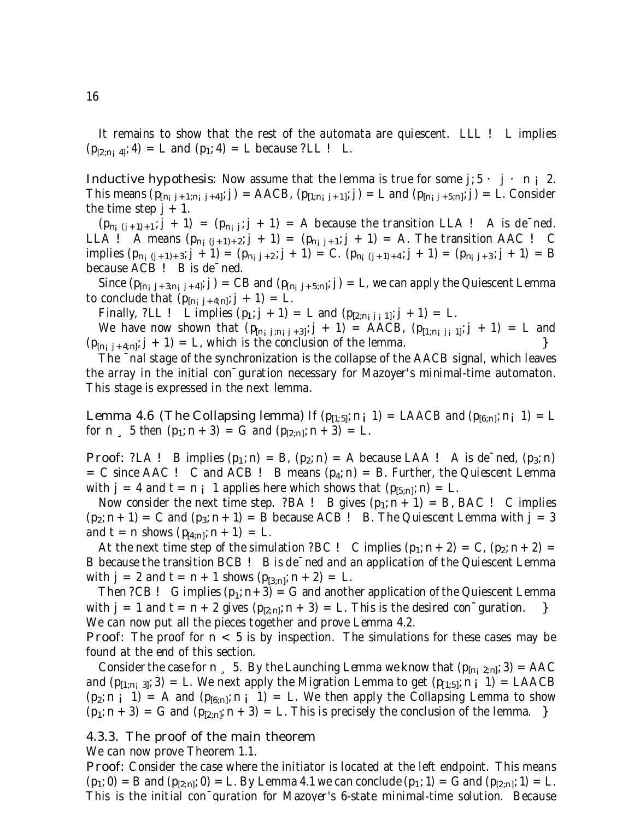It remains to show that the rest of the automata are quiescent. LLL ! L implies  $(p_{[2,n_i 4]}; 4) = L$  and  $(p_1; 4) = L$  because ?LL ! L.

**Inductive hypothesis:** Now assume that the lemma is true for some  $j: 5 \cdot j \cdot n \in 2$ . This means  $(p_{[n_i j+1;n_i j+4]}; j) = \text{AACB}, (p_{[1;n_i j+1]}; j) = L$  and  $(p_{[n_i j+5;n]}; j) = L$ . Consider the time step  $j + 1$ .

 $(p_{n_i (j+1)+1}; j+1) = (p_{n_i j}; j+1) = A$  because the transition LLA ! A is de<sup>-</sup>ned. LLA ! A means  $(p_{n_i (j+1)+2}; j + 1) = (p_{n_i (j+1)}; j + 1) = A$ . The transition AAC ! C implies  $(p_{n_i (j+1)+3}; j + 1) = (p_{n_i,j+2}; j + 1) = C$ .  $(p_{n_i (j+1)+4}; j + 1) = (p_{n_i,j+3}; j + 1) = B$ because ACB ! B is de¯ned.

Since  $(p_{[n_i\ j+3;n_i\ j+4]};j)$  = CB and  $(p_{[n_i\ j+5;n]};j)$  = L, we can apply the Quiescent Lemma to conclude that  $(p_{[n]j+4;n]}; j + 1) = L$ .

Finally, ?LL ! L implies  $(p_1; j + 1) = L$  and  $(p_{[2,nj+1]}; j + 1) = L$ .

We have now shown that  $(p_{[n_i j; n_i j+3]}; j + 1) =$  AACB,  $(p_{[1;n_i j_i 1]}; j + 1) =$  L and  $(p_{[n_j j+4;n]}, j+1) = L$ , which is the conclusion of the lemma.

The ¯nal stage of the synchronization is the collapse of the AACB signal, which leaves the array in the initial con¯guration necessary for Mazoyer's minimal-time automaton. This stage is expressed in the next lemma.

**Lemma 4.6 (The Collapsing lemma)** If  $(p_{[1:5]}; n; 1) =$  LAACB and  $(p_{[6:n]}; n; 1) =$  L for n  $\binom{5}{1}$  then  $(p_1; n + 3) = G$  and  $(p_{[2:n]}; n + 3) = L$ .

**Proof:** ?LA ! B implies  $(p_1; n) = B$ ,  $(p_2; n) = A$  because LAA ! A is de<sup>-</sup>ned,  $(p_3; n)$  $= C$  since AAC ! C and ACB ! B means  $(p_4; n) = B$ . Further, the Quiescent Lemma with  $j = 4$  and  $t = n j$  1 applies here which shows that  $(p_{[5,n]}; n) = L$ .

Now consider the next time step. ?BA ! B gives  $(p_1; n + 1) = B$ , BAC ! C implies  $(p_2; n+1) = C$  and  $(p_3; n+1) = B$  because ACB ! B. The Quiescent Lemma with  $j = 3$ and  $t = n$  shows  $(p_{[4;n]}; n + 1) = L$ .

At the next time step of the simulation ?BC ! C implies  $(p_1; n + 2) = C$ ,  $(p_2; n + 2) =$ B because the transition BCB ! B is de¯ned and an application of the Quiescent Lemma with  $j = 2$  and  $t = n + 1$  shows  $(p_{[3;n]}; n + 2) = L$ .

Then ?CB ! G implies  $(p_1; n+3) = G$  and another application of the Quiescent Lemma with  $j = 1$  and  $t = n + 2$  gives  $(p_{[2,n]}; n + 3) = L$ . This is the desired con<sup>-</sup>guration.  $\}$ We can now put all the pieces together and prove Lemma 4.2.

**Proof:** The proof for  $n < 5$  is by inspection. The simulations for these cases may be found at the end of this section.

Consider the case for n  $\Box$  5. By the Launching Lemma we know that  $(p_{[n_1 2:n]}, 3) = \text{AAC}$ and  $(p_{[1:n;3]}; 3) = L$ . We next apply the Migration Lemma to get  $(p_{[1:5]}; n_i | 1) = LACB$  $(p_2; n \mid 1) = A$  and  $(p_{[6;n]}; n \mid 1) = L$ . We then apply the Collapsing Lemma to show  $(p_1; n+3) = G$  and  $(p_{[2,n]}; n+3) = L$ . This is precisely the conclusion of the lemma. }

#### 4.3.3. The proof of the main theorem

We can now prove Theorem 1.1.

Proof: Consider the case where the initiator is located at the left endpoint. This means  $(p_1; 0) = B$  and  $(p_{[2:n]}; 0) = L$ . By Lemma 4.1 we can conclude  $(p_1; 1) = G$  and  $(p_{[2:n]}; 1) = L$ . This is the initial con¯guration for Mazoyer's 6-state minimal-time solution. Because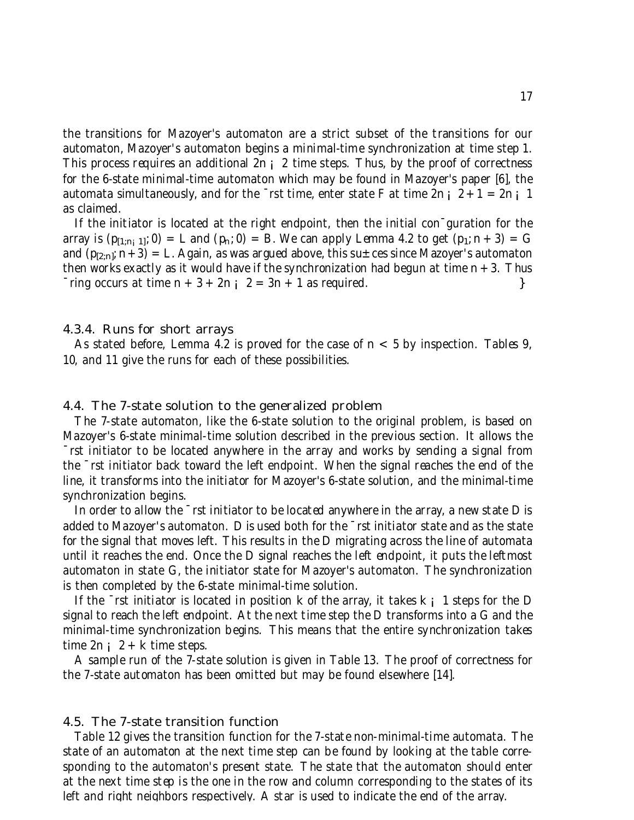the transitions for Mazoyer's automaton are a strict subset of the transitions for our automaton, Mazoyer's automaton begins a minimal-time synchronization at time step 1. This process requires an additional 2n ; 2 time steps. Thus, by the proof of correctness for the 6-state minimal-time automaton which may be found in Mazoyer's paper [6], the automata simultaneously, and for the  $\overline{\phantom{a}}$  rst time, enter state F at time 2n ; 2 + 1 = 2n ; 1 as claimed.

If the initiator is located at the right endpoint, then the initial con¯guration for the array is  $(p_{[1:n;1]}; 0) = L$  and  $(p_n; 0) = B$ . We can apply Lemma 4.2 to get  $(p_1; n+3) = G$ and  $(p_{[2:n]}; n+3) = L$ . Again, as was argued above, this su $\pm$  ces since Mazoyer's automaton then works exactly as it would have if the synchronization had begun at time  $n + 3$ . Thus  $\lceil \text{ring occurs at time } n + 3 + 2n \rceil$   $\{2 = 3n + 1 \text{ as required.}\}$ 

### 4.3.4. Runs for short arrays

As stated before, Lemma 4.2 is proved for the case of  $n < 5$  by inspection. Tables 9, 10, and 11 give the runs for each of these possibilities.

### 4.4. The 7-state solution to the generalized problem

The 7-state automaton, like the 6-state solution to the original problem, is based on Mazoyer's 6-state minimal-time solution described in the previous section. It allows the ¯rst initiator to be located anywhere in the array and works by sending a signal from the ¯rst initiator back toward the left endpoint. When the signal reaches the end of the line, it transforms into the initiator for Mazoyer's 6-state solution, and the minimal-time synchronization begins.

In order to allow the  $\overline{\phantom{a}}$  rst initiator to be located anywhere in the array, a new state D is added to Mazoyer's automaton. D is used both for the ¯rst initiator state and as the state for the signal that moves left. This results in the D migrating across the line of automata until it reaches the end. Once the D signal reaches the left endpoint, it puts the leftmost automaton in state G, the initiator state for Mazoyer's automaton. The synchronization is then completed by the 6-state minimal-time solution.

If the  $\overline{\phantom{a}}$  rst initiator is located in position k of the array, it takes k; 1 steps for the D signal to reach the left endpoint. At the next time step the D transforms into a G and the minimal-time synchronization begins. This means that the entire synchronization takes time  $2n : 2 + k$  time steps.

A sample run of the 7-state solution is given in Table 13. The proof of correctness for the 7-state automaton has been omitted but may be found elsewhere [14].

#### 4.5. The 7-state transition function

Table 12 gives the transition function for the 7-state non-minimal-time automata. The state of an automaton at the next time step can be found by looking at the table corresponding to the automaton's present state. The state that the automaton should enter at the next time step is the one in the row and column corresponding to the states of its left and right neighbors respectively. A star is used to indicate the end of the array.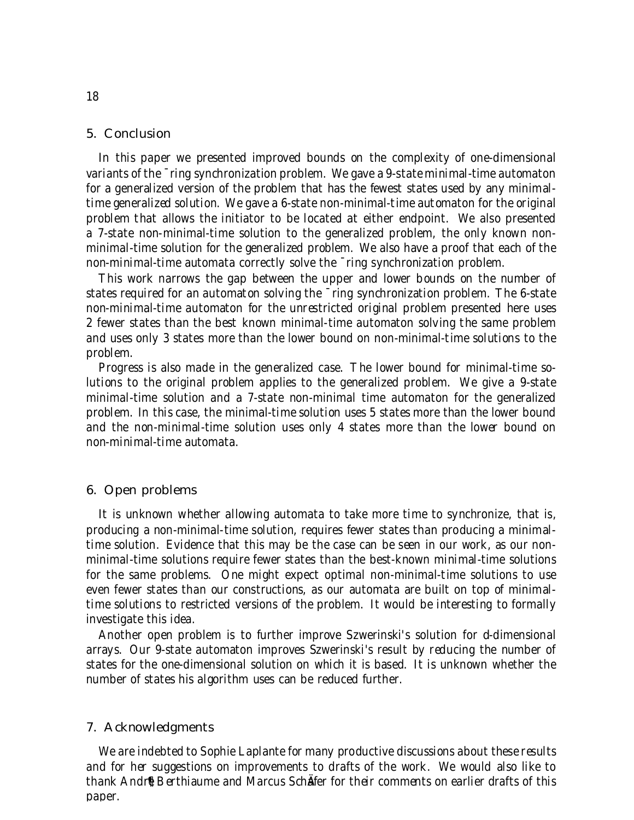### 5. Conclusion

In this paper we presented improved bounds on the complexity of one-dimensional variants of the ¯ring synchronization problem. We gave a 9-state minimal-time automaton for a generalized version of the problem that has the fewest states used by any minimaltime generalized solution. We gave a 6-state non-minimal-time automaton for the original problem that allows the initiator to be located at either endpoint. We also presented a 7-state non-minimal-time solution to the generalized problem, the only known nonminimal-time solution for the generalized problem. We also have a proof that each of the non-minimal-time automata correctly solve the ¯ring synchronization problem.

This work narrows the gap between the upper and lower bounds on the number of states required for an automaton solving the ¯ring synchronization problem. The 6-state non-minimal-time automaton for the unrestricted original problem presented here uses 2 fewer states than the best known minimal-time automaton solving the same problem and uses only 3 states more than the lower bound on non-minimal-time solutions to the problem.

Progress is also made in the generalized case. The lower bound for minimal-time solutions to the original problem applies to the generalized problem. We give a 9-state minimal-time solution and a 7-state non-minimal time automaton for the generalized problem. In this case, the minimal-time solution uses 5 states more than the lower bound and the non-minimal-time solution uses only 4 states more than the lower bound on non-minimal-time automata.

## 6. Open problems

It is unknown whether allowing automata to take more time to synchronize, that is, producing a non-minimal-time solution, requires fewer states than producing a minimaltime solution. Evidence that this may be the case can be seen in our work, as our nonminimal-time solutions require fewer states than the best-known minimal-time solutions for the same problems. One might expect optimal non-minimal-time solutions to use even fewer states than our constructions, as our automata are built on top of minimaltime solutions to restricted versions of the problem. It would be interesting to formally investigate this idea.

Another open problem is to further improve Szwerinski's solution for d-dimensional arrays. Our 9-state automaton improves Szwerinski's result by reducing the number of states for the one-dimensional solution on which it is based. It is unknown whether the number of states his algorithm uses can be reduced further.

#### 7. Acknowledgments

We are indebted to Sophie Laplante for many productive discussions about these results and for her suggestions on improvements to drafts of the work. We would also like to thank Andr<sup>®</sup> Berthiaume and Marcus SchÄfer for their comments on earlier drafts of this paper.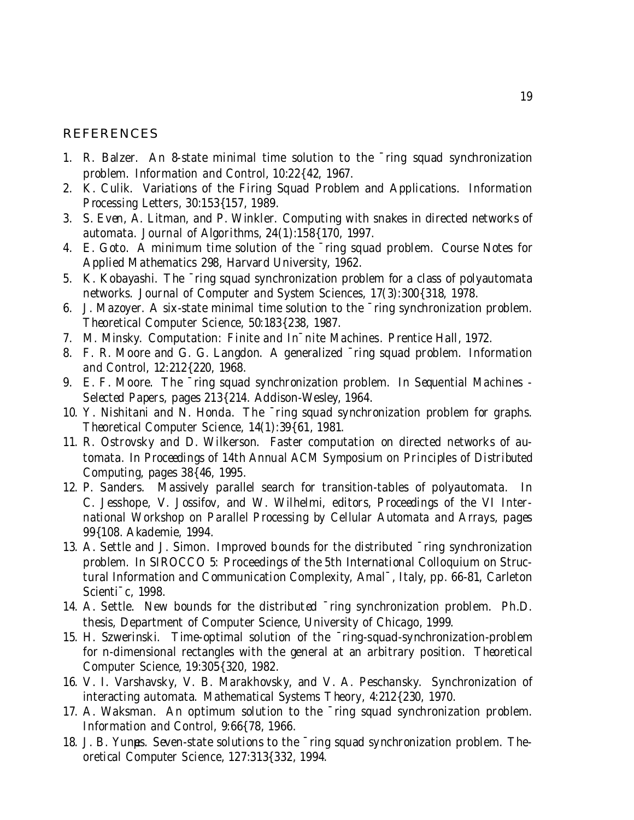## REFERENCES

- 1. R. Balzer. An 8-state minimal time solution to the ¯ring squad synchronization problem. Information and Control, 10:22{42, 1967.
- 2. K. Culik. Variations of the Firing Squad Problem and Applications. Information Processing Letters, 30:153{157, 1989.
- 3. S. Even, A. Litman, and P. Winkler. Computing with snakes in directed networks of automata. Journal of Algorithms, 24(1):158{170, 1997.
- 4. E. Goto. A minimum time solution of the ¯ring squad problem. Course Notes for Applied Mathematics 298, Harvard University, 1962.
- 5. K. Kobayashi. The ¯ring squad synchronization problem for a class of polyautomata networks. Journal of Computer and System Sciences, 17(3):300{318, 1978.
- 6. J. Mazoyer. A six-state minimal time solution to the ¯ring synchronization problem. Theoretical Computer Science, 50:183{238, 1987.
- 7. M. Minsky. Computation: Finite and In¯nite Machines. Prentice Hall, 1972.
- 8. F. R. Moore and G. G. Langdon. A generalized ¯ring squad problem. Information and Control, 12:212{220, 1968.
- 9. E. F. Moore. The ¯ring squad synchronization problem. In Sequential Machines Selected Papers, pages 213{214. Addison-Wesley, 1964.
- 10. Y. Nishitani and N. Honda. The ¯ring squad synchronization problem for graphs. Theoretical Computer Science, 14(1):39{61, 1981.
- 11. R. Ostrovsky and D. Wilkerson. Faster computation on directed networks of automata. In Proceedings of 14th Annual ACM Symposium on Principles of Distributed Computing, pages 38{46, 1995.
- 12. P. Sanders. Massively parallel search for transition-tables of polyautomata. In C. Jesshope, V. Jossifov, and W. Wilhelmi, editors, Proceedings of the VI International Workshop on Parallel Processing by Cellular Automata and Arrays, pages 99{108. Akademie, 1994.
- 13. A. Settle and J. Simon. Improved bounds for the distributed ¯ring synchronization problem. In SIROCCO 5: Proceedings of the 5th International Colloquium on Structural Information and Communication Complexity, Amal¯, Italy, pp. 66-81, Carleton Scienti¯c, 1998.
- 14. A. Settle. New bounds for the distributed ¯ring synchronization problem. Ph.D. thesis, Department of Computer Science, University of Chicago, 1999.
- 15. H. Szwerinski. Time-optimal solution of the ¯ring-squad-synchronization-problem for n-dimensional rectangles with the general at an arbitrary position. Theoretical Computer Science, 19:305{320, 1982.
- 16. V. I. Varshavsky, V. B. Marakhovsky, and V. A. Peschansky. Synchronization of interacting automata. Mathematical Systems Theory, 4:212{230, 1970.
- 17. A. Waksman. An optimum solution to the ¯ring squad synchronization problem. Information and Control, 9:66{78, 1966.
- 18. J. B. Yungs. Seven-state solutions to the  $\overline{\ }$ ring squad synchronization problem. Theoretical Computer Science, 127:313{332, 1994.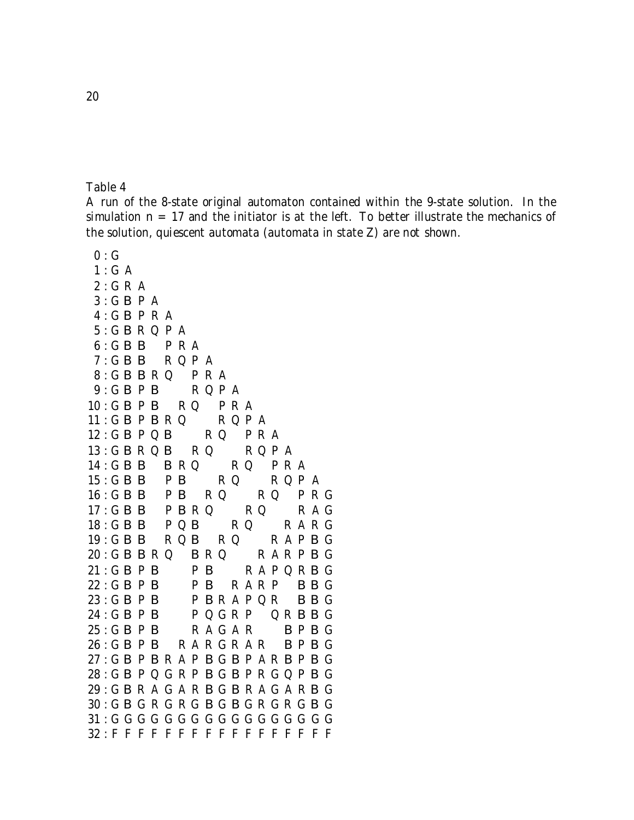A run of the 8-state original automaton contained within the 9-state solution. In the simulation  $n = 17$  and the initiator is at the left. To better illustrate the mechanics of the solution, quiescent automata (automata in state Z) are not shown.

 $0:G$  $1: G A$  $2: G R A$ 3 : G B P A  $4:G$  **B** P R A 5 : G B R Q P A  $6: G$  **B B**  $P$  **R** A  $7: G$  **B** B R Q P A  $8: G$  **B B** R Q P R A  $9: G$  **B** P **B** R Q P A  $10:$  G B P B R Q P R A  $11:GBP$  B R Q R Q P A  $12:$  G B P Q B R Q P R A  $13: G$  B R Q B R Q  $R$  Q P A  $14:GB$  B R Q R Q P R A  $15:$  GBB PB RQ RQPA  $16:$  GBB PB RQ RQ PRG  $17:$  GBB PBRQ RQ RAG 18: GBB PQB RQ RARG  $19: G$  B B R Q B R Q R A P B G  $20: G$  **B**  $B$  R  $Q$  **B** R  $Q$  **R** A R P **B** G  $21:$  G B P B R A P Q R B G  $22:$  GBPB PB RARP BBG  $23: G$  B P B B B R A P Q R B B G  $24:GBPB$  PQGRP QRBBG  $25: G$  B P B R A G A R B P B G  $26: G$  B P B R A R G R A R B P B G 27 : G B P B R A P B G B P A R B P B G 28 : G B P Q G R P B G B P R G Q P B G 29 : G B R A G A R B G B R A G A R B G 30 : G B G R G R G B G B G R G R G B G 31 : G G G G G G G G G G G G G G G G G 32 : F F F F F F F F F F F F F F F F F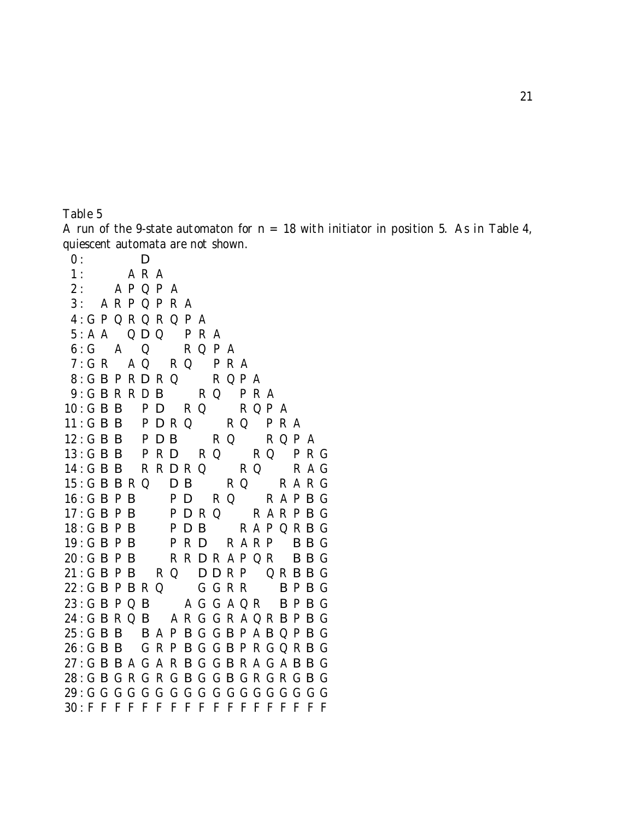A run of the 9-state automaton for  $n = 18$  with initiator in position 5. As in Table 4, quiescent automata are not shown.

 $0:$  D 1 : A R A  $2:$  A P Q P A 3 : A R P Q P R A 4 : G P Q R Q R Q P A  $5: A A$  QDQ PRA 6 : G A Q R Q P A  $7: G R$   $A Q$   $R Q$   $P R A$  $8: G$  B P R D R Q R Q P A 9: GBRRDB RQ PRA  $10:$  G B B P D R Q R Q P A  $11:GB$  B  $P$  D R Q  $R$  Q  $PR$  A  $12:$  GBB PDB RQ RQPA 13 : G B B P R D R Q R Q P R G  $14:G$  **B B** R R **D** R Q R Q R A G  $15: G$  **B** B R Q **D B** R Q R A R G  $16: G$  B P B P D R Q R A P B G  $17: G$  **B** P **B** P **D** R Q R A R P **B** G  $18: G$  **B** P **B** P **D B** R A P Q R **B** G 19: GBPB PRD RARP BBG  $20: G$  B P B R R D R A P Q R B B G  $21: G$  B P B R Q D D R P Q R B B G  $22: G$  **B** P **B** R Q G G R R B P **B** G  $23: G$  **B** P Q **B** A G G A Q R **B** P **B** G 24 : G B R Q B A R G G R A Q R B P B G  $25: G$  **B** B B A P B G G B P A B Q P B G  $26: G$  **B** B G R P B G G B P R G Q R B G 27 : G B B A G A R B G G B R A G A B B G 28 : G B G R G R G B G G B G R G R G B G 29 : G G G G G G G G G G G G G G G G G G 30 : F F F F F F F F F F F F F F F F F F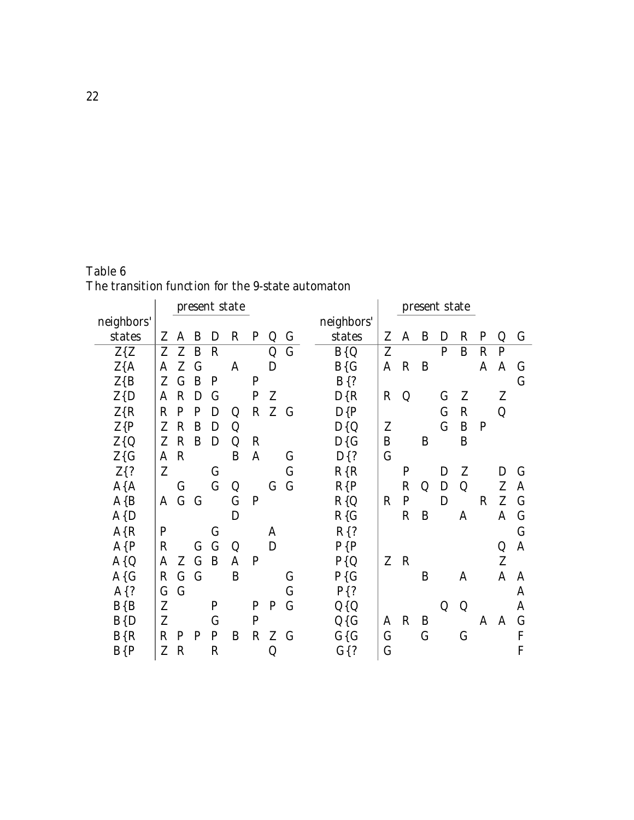| Table 6                                           |  |  |
|---------------------------------------------------|--|--|
| The transition function for the 9-state automaton |  |  |

|            |             |              |              |              | present state |              |             |                |            |              |             |             | present state |              |              |              |              |
|------------|-------------|--------------|--------------|--------------|---------------|--------------|-------------|----------------|------------|--------------|-------------|-------------|---------------|--------------|--------------|--------------|--------------|
| neighbors' |             |              |              |              |               |              |             |                | neighbors' |              |             |             |               |              |              |              |              |
| states     | Z           | A            | B            | D            | $\mathbf R$   | $\mathbf P$  | Q           | $\mathbf G$    | states     | Z            | A           | B           | D             | $\mathbf R$  | $\mathbf P$  | Q            | G            |
| $Z\{Z$     | Z           | Z            | $\mathbf{B}$ | $\mathbf R$  |               |              | Q           | $\overline{G}$ | $B\{Q$     | Z            |             |             | $\mathbf{P}$  | B            | $\mathbf R$  | $\mathbf{P}$ |              |
| $Z{A}$     | A           | Z            | $\mathbf G$  |              | A             |              | D           |                | $B\{G$     | $\mathbf{A}$ | $\mathbf R$ | B           |               |              | A            | $\mathbf{A}$ | $\mathsf{G}$ |
| $Z\{B$     | Z           | $\mathsf{G}$ | B            | $\mathbf P$  |               | $\mathbf{P}$ |             |                | $B$ {?     |              |             |             |               |              |              |              | $\bf G$      |
| Z(D)       | A           | $\mathbf R$  | D            | $\mathsf G$  |               | $\mathbf P$  | Z           |                | $D\{R$     | $\mathbf R$  | Q           |             | $\mathbf G$   | Z            |              | Z            |              |
| Z(R)       | $\mathbf R$ | $\mathbf{P}$ | P            | D            | Q             | $\mathbf R$  | Z           | $\mathbf G$    | $D\{P$     |              |             |             | $\mathbf G$   | $\mathbf R$  |              | Q            |              |
| $Z\{P$     | Z           | $\mathbf R$  | B            | D            | Q             |              |             |                | $D\{Q$     | Z            |             |             | $\mathbf G$   | B            | $\mathbf{P}$ |              |              |
| $Z\{Q$     | Z           | $\mathbf R$  | B            | D            | Q             | R            |             |                | $D\{G$     | B            |             | B           |               | B            |              |              |              |
| $Z\{G$     | A           | $\mathbf R$  |              |              | B             | A            |             | $\mathsf{G}$   | $D$ {?     | $\mathbf G$  |             |             |               |              |              |              |              |
| $Z$ {?     | Z           |              |              | $\mathsf{G}$ |               |              |             | $\mathbf G$    | $R{R}$     |              | P           |             | D             | Z            |              | D            | G            |
| $A{A}$     |             | $\bf G$      |              | $\mathbf G$  | Q             |              | G           | $\bf G$        | $R{P}$     |              | $\mathbf R$ | Q           | D             | Q            |              | Z            | A            |
| $A\{B$     | A           | $\mathbf G$  | $\mathbf G$  |              | $\mathbf G$   | $\mathbf P$  |             |                | $R\{Q$     | $\mathbf R$  | $\mathbf P$ |             | D             |              | $\mathbf R$  | Z            | $\mathbf G$  |
| $A\{D$     |             |              |              |              | D             |              |             |                | $R\{G$     |              | $\mathbf R$ | B           |               | A            |              | A            | $\mathsf{G}$ |
| $A\{R$     | P           |              |              | G            |               |              | A           |                | $R$ {?     |              |             |             |               |              |              |              | $\mathsf{G}$ |
| $A\{P$     | $\mathbf R$ |              | $\mathbf{G}$ | $\mathbf G$  | $\bf Q$       |              | D           |                | $P\{P$     |              |             |             |               |              |              | Q            | A            |
| $A\{Q$     | A           |              | Z G          | B            | A             | $\mathbf P$  |             |                | $P\{Q$     | Z            | $\mathbf R$ |             |               |              |              | Z            |              |
| $A\{G$     | $\mathbf R$ | $\mathsf{G}$ | $\mathsf G$  |              | B             |              |             | G              | $P\{G$     |              |             | B           |               | A            |              | A            | A            |
| $A$ {?     | $\mathbf G$ | $\mathsf{G}$ |              |              |               |              |             | G              | $P\{?$     |              |             |             |               |              |              |              | A            |
| $B\{B$     | Z           |              |              | P            |               | P            | $\mathbf P$ | $\bf G$        | $Q\{Q$     |              |             |             | Q             | Q            |              |              | A            |
| B(D)       | Z           |              |              | $\bf G$      |               | $\mathbf{P}$ |             |                | $Q\{G$     | A            | $\mathbf R$ | B           |               |              | A            | A            | $\mathsf G$  |
| $B\{R$     | $\mathbf R$ | $\mathbf P$  | P            | $\mathbf P$  | B             | $\mathbf R$  | Z           | G              | $G\{G$     | G            |             | $\mathbf G$ |               | $\mathsf{G}$ |              |              | F            |
| $B\{P$     | Z           | $\mathbf R$  |              | $\mathbf R$  |               |              | Q           |                | $G$ {?     | $\mathbf G$  |             |             |               |              |              |              | F            |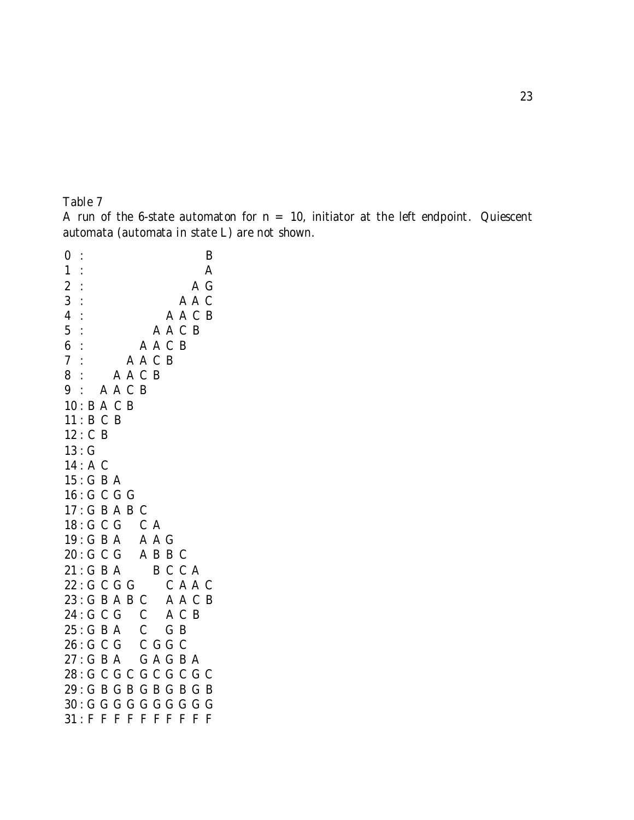A run of the 6-state automaton for  $n = 10$ , initiator at the left endpoint. Quiescent automata (automata in state L) are not shown.

 : B : A : A G : A A C : A A C B : A A C B : A A C B : A A C B : A A C B : A A C B : B A C B : B C B : C B : G : A C : G B A : G C G G : G B A B C : G C G C A : G B A A A G : G C G A B B C  $21: GBA$  B C C A : G C G G C A A C : G B A B C A A C B : G C G C A C B : G B A C G B : G C G C G G C  $27: G$  B A  $G$  A G B A : G C G C G C G C G C : G B G B G B G B G B : G G G G G G G G G G  $31:$  F F F F F F F F F F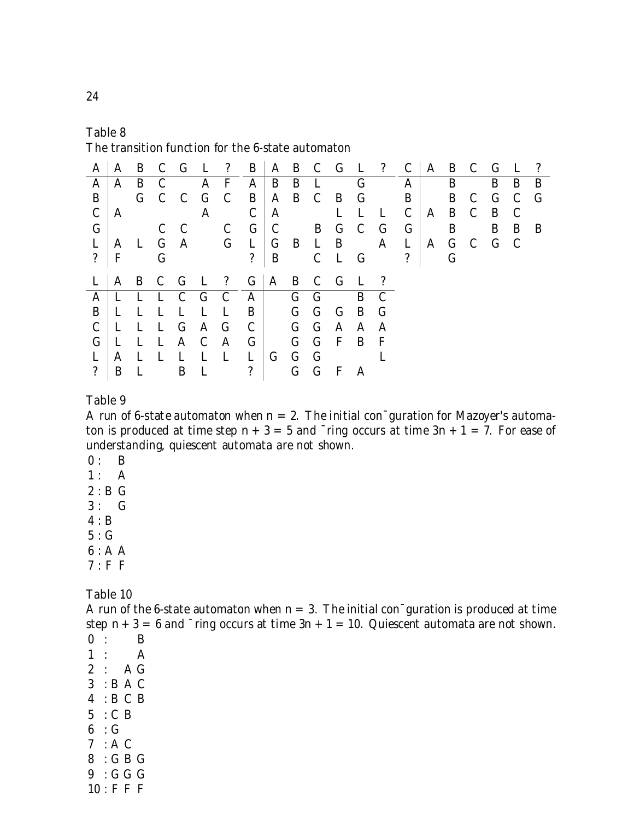The transition function for the 6-state automaton

| A                 |     |              |              |              |              |                         |                         |                |         |             |              |              | A B C G L ? B A B C G L ? C A B C G |                      |       |           | $\mathbf{L}$ | $\cdot$ ?   |
|-------------------|-----|--------------|--------------|--------------|--------------|-------------------------|-------------------------|----------------|---------|-------------|--------------|--------------|-------------------------------------|----------------------|-------|-----------|--------------|-------------|
| A                 | A B |              | $\mathbf C$  |              |              | A F                     | $\bar{A}$               |                | B B L   |             |              | $\mathbf G$  |                                     | A                    | B     | B         | B            | B           |
| $\vert B \vert$   |     |              |              |              | G C C G C    |                         | $B$ $A$ $B$ $C$ $B$ $G$ |                |         |             |              |              |                                     | $\mathbf{B}$         | B C   | G C       |              | $\mathbf G$ |
| $\mathbf C$       | A   |              |              |              | A            |                         | $\mathcal{C}$           | $\mathbf{A}$   |         |             | L L          |              | $\mathbf{L}$                        | $\mathbf C$          | A B C | B         | $\mathbf C$  |             |
| G <sub>1</sub>    |     |              | $C$ $C$      |              |              | $\mathbf C$             | $G \mid C$              |                |         |             | B G C        |              | $\mathbf G$                         | $\mid$ G $\mid$      | B     | B         | B            | B           |
| L                 |     | A L G A      |              |              |              | $G$ L                   |                         | $G$ B L B      |         |             |              |              | $\mathbf{A}$                        | $\mathbf{L}^{-1}$    |       | A G C G C |              |             |
| $\mathcal{P}$     | F   |              | $\mathsf{G}$ |              |              |                         | $\mathcal{P}$           |                |         |             | B C L G      |              |                                     | $\ddot{\mathcal{E}}$ |       |           |              |             |
|                   |     |              |              |              |              |                         |                         |                |         |             |              |              |                                     |                      |       |           |              |             |
| L                 |     |              |              |              |              | A B C G L ? G A B C G L |                         |                |         |             |              |              | $\overline{2}$                      |                      |       |           |              |             |
| $\mathbf{A}$      | L   | L L          |              | $C$ $G$      |              | $\mathbf{C}$            | $\mathbf{A}$            | $\overline{G}$ |         | $\mathbf G$ |              | B            | C <sub>1</sub>                      |                      |       |           |              |             |
| B                 | П.  | П.           | $\mathbf{L}$ | $\mathbf{L}$ | L            | - L                     | $B+$                    |                | $G$ $G$ |             | $\mathbf{G}$ | $\mathbf{B}$ | $\mathbf G$                         |                      |       |           |              |             |
| $\mathbf{C}$      | L   | $\mathbf{L}$ | L G          |              | A G          |                         | $\mathbf C$             | $G$ $G$ $A$    |         |             |              | $\mathbf{A}$ | A                                   |                      |       |           |              |             |
| $G_{\mathcal{L}}$ | L   | $\mathbf{L}$ | $\mathbf{L}$ | $\mathbf{A}$ | $\mathbf C$  | $\mathbf{A}$            | G                       |                |         | $G$ $G$ $F$ |              | B            | $\mathbf F$                         |                      |       |           |              |             |
| L                 | A   | $\mathbf{L}$ | $\mathbf{L}$ | $\mathbf{L}$ | $\mathbf{L}$ | $\mathbf{L}$            | $\mathbf{L}$            | $\overline{G}$ | $G$ $G$ |             |              |              |                                     |                      |       |           |              |             |

Table 9

A run of 6-state automaton when  $n = 2$ . The initial con<sup>-</sup>guration for Mazoyer's automaton is produced at time step  $n + 3 = 5$  and  $\overline{\ }$ ring occurs at time  $3n + 1 = 7$ . For ease of understanding, quiescent automata are not shown.

- $0: B$
- $1: A$
- $2 : B G$
- $3: G$
- 4 : B
- $5:G$
- 6 : A A
- 7 : F F

Table 10

A run of the 6-state automaton when  $n = 3$ . The initial con $\bar{\ }$ guration is produced at time step  $n + 3 = 6$  and  $\overline{\ }$ ring occurs at time  $3n + 1 = 10$ . Quiescent automata are not shown.  $0 : B$ 1 : A  $2 : AG$ 3 : B A C 4 : B C B  $5 \cdot \cdot \text{C} B$  $6 \cdot G$  $7 : A C$  $8 \cdot G$  B G  $9 \cdot G G$ 

 $10 : F F F$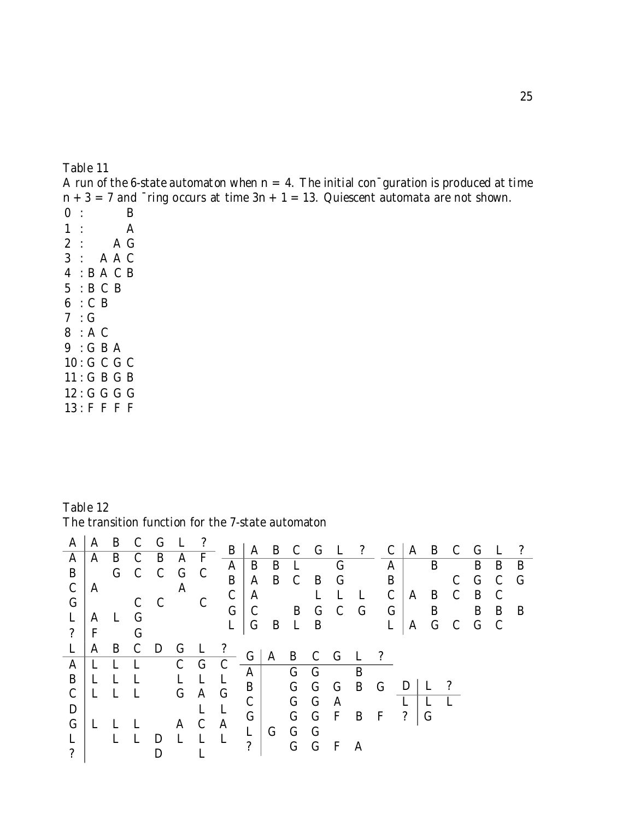A run of the 6-state automaton when  $n = 4$ . The initial con $\bar{\ }$ guration is produced at time  $n + 3 = 7$  and  $\overline{\ }$ ring occurs at time  $3n + 1 = 13$ . Quiescent automata are not shown.  $0$  : B

 $\begin{array}{ccc} 1 & : & A \\ 2 & : & A \end{array}$  $2$ : 3 : A A C 4 : B A C B 5 : B C B 6 : C B 7 : G 8 : A C  $9 \cdot G$  B A 10 : G C G C 11 : G B G B 12 : G G G G 13 : F F F F

Table 12 The transition function for the 7-state automaton

| $\mathbf{A}$             | A            | B           | $\mathbf C$  | $\mathbf G$                           | $\mathbf{L}$ | $\cdot$ ?    | $\vert B \vert$ |               |             |               |              |                               |             |                     |              |             |             |         |             | $\cdot$ ?      |
|--------------------------|--------------|-------------|--------------|---------------------------------------|--------------|--------------|-----------------|---------------|-------------|---------------|--------------|-------------------------------|-------------|---------------------|--------------|-------------|-------------|---------|-------------|----------------|
| A                        |              |             |              | A B C B A                             |              | $\mathbf{F}$ |                 |               | B B L       |               |              | $\mathbf G$                   |             | $A \mid$            |              | B           |             | B       | B           | $\overline{B}$ |
| $\mathbf{B}$             |              |             |              | G C C G                               |              | $\mathbf C$  | $A^+$           |               |             |               |              |                               |             |                     |              |             |             |         |             |                |
| $\mathbf C$              | A            |             |              |                                       | A            |              | B               | $\mathbf{A}$  | B C         |               | $\mathbf{B}$ | $\mathbf G$                   |             | $\vert B \vert$     |              |             |             | $C$ $G$ | $\mathbf C$ | $\mathsf{G}$   |
| $\vert G \vert$          |              |             |              |                                       |              | $\mathbf C$  | $\mathbf C$     | A             |             |               | $\mathbf{L}$ | $\mathbf{L}$                  | L           | $\mathcal{C}$       | $\mathbf{A}$ | B C         |             | B       | $\mathbf C$ |                |
|                          |              |             |              | $\begin{array}{cc} C & C \end{array}$ |              |              | $\mathbf G$     | $\mathcal{C}$ |             | B G           |              | $\mathbf C$                   | $\mathbf G$ | $\mathsf{G}$        |              | B           |             | B       | B B         |                |
| L                        | $\mathbf{A}$ | L G         |              |                                       |              |              | $\mathbf{L}$    | $\mathbf G$   |             |               |              | B L B                         |             | L                   | $\mathbf{A}$ | $\mathbf G$ | $C$ $G$ $C$ |         |             |                |
| $\left  \cdot \right $   | $\mathbf{F}$ |             | $\mathsf{G}$ |                                       |              |              |                 |               |             |               |              |                               |             |                     |              |             |             |         |             |                |
| L                        | A            | $\mathbf B$ | $\mathbf C$  | $\mathbf{D}$                          | $\mathbf G$  |              | $\cdot$ ?       |               |             |               |              | $G \upharpoonright A$ B C G L |             | $\cdot$ ?           |              |             |             |         |             |                |
| $A^{\dagger}$            | L L          |             | $\mathbf{L}$ |                                       | $C$ $G$      |              | $\mathcal{C}$   |               |             |               |              |                               |             |                     |              |             |             |         |             |                |
| B                        | $\mathbf{L}$ | L L         |              |                                       | $L$ $L$      |              | $\mathbf{L}$    |               |             | $A \vert$ G G |              |                               | B           |                     |              |             |             |         |             |                |
| $\mathsf{C}$             |              | L L L       |              |                                       | $\mathbf G$  | A G          |                 |               |             |               |              |                               |             | $B$ G G G B G D L ? |              |             |             |         |             |                |
|                          |              |             |              |                                       |              |              |                 | $\mathbf{C}$  |             | $G$ $G$       |              | $\mathbf{A}$                  |             |                     |              |             |             |         |             |                |
| D                        |              |             |              |                                       |              |              |                 | G'            |             |               |              |                               |             | G G F B F ?         |              | $\mathsf G$ |             |         |             |                |
| $\mathbf G$              | $\mathbf{L}$ |             | $\mathbf{L}$ |                                       | $\mathbf{A}$ | $\mathbf C$  | $\mathbf{A}$    | $\mathbf{L}$  | $\mathbf G$ | $G$ $G$       |              |                               |             |                     |              |             |             |         |             |                |
| $L$                      |              |             | L L D        |                                       | $\mathbf{L}$ | $\mathbf{L}$ | $\mathbf{L}$    |               |             | $G$ $G$       |              | $\mathbf{F}$                  | A           |                     |              |             |             |         |             |                |
| $\overline{\mathcal{E}}$ |              |             |              |                                       |              |              |                 |               |             |               |              |                               |             |                     |              |             |             |         |             |                |